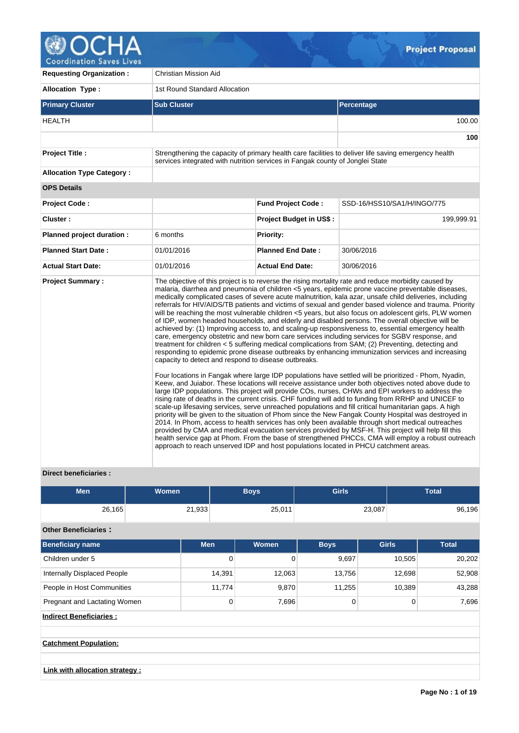

**Requesting Organization :** Christian Mission Aid **Allocation Type :** 1st Round Standard Allocation **Primary Cluster Sub Cluster Sub Cluster** Sub Cluster Sub Cluster Sub Cluster Sub Cluster Sub Cluster Sub Cluster HEALTH 100.00 **100 Project Title :** Strengthening the capacity of primary health care facilities to deliver life saving emergency health services integrated with nutrition services in Fangak county of Jonglei State **Allocation Type Category : OPS Details Project Code : Fund Project Code :** SSD-16/HSS10/SA1/H/INGO/775 **Cluster :** 199,999.91 **199,999.91 Project Budget in US\$ :** 199,999.91 **199,999.91 Planned project duration :** 6 months **Planned Priority: Planned Start Date :** 01/01/2016 **Planned End Date :** 30/06/2016 **Actual Start Date:** 01/01/2016 **Actual End Date:** 30/06/2016 **Project Summary :** The objective of this project is to reverse the rising mortality rate and reduce morbidity caused by malaria, diarrhea and pneumonia of children <5 years, epidemic prone vaccine preventable diseases, medically complicated cases of severe acute malnutrition, kala azar, unsafe child deliveries, including referrals for HIV/AIDS/TB patients and victims of sexual and gender based violence and trauma. Priority will be reaching the most vulnerable children <5 years, but also focus on adolescent girls, PLW women of IDP, women headed households, and elderly and disabled persons. The overall objective will be achieved by: (1) Improving access to, and scaling-up responsiveness to, essential emergency health care, emergency obstetric and new born care services including services for SGBV response, and treatment for children < 5 suffering medical complications from SAM; (2) Preventing, detecting and responding to epidemic prone disease outbreaks by enhancing immunization services and increasing capacity to detect and respond to disease outbreaks. Four locations in Fangak where large IDP populations have settled will be prioritized - Phom, Nyadin, Keew, and Juiabor. These locations will receive assistance under both objectives noted above dude to large IDP populations. This project will provide COs, nurses, CHWs and EPI workers to address the rising rate of deaths in the current crisis. CHF funding will add to funding from RRHP and UNICEF to scale-up lifesaving services, serve unreached populations and fill critical humanitarian gaps. A high priority will be given to the situation of Phom since the New Fangak County Hospital was destroyed in 2014. In Phom, access to health services has only been available through short medical outreaches provided by CMA and medical evacuation services provided by MSF-H. This project will help fill this health service gap at Phom. From the base of strengthened PHCCs, CMA will employ a robust outreach approach to reach unserved IDP and host populations located in PHCU catchment areas.

# **Direct beneficiaries :**

| <b>Men</b>                      | <b>Women</b> |            | <b>Boys</b>                 | <b>Girls</b> |              | <b>Total</b> |
|---------------------------------|--------------|------------|-----------------------------|--------------|--------------|--------------|
| 26,165                          |              | 21,933     | 25,011                      |              | 23,087       | 96,196       |
| <b>Other Beneficiaries:</b>     |              |            |                             |              |              |              |
| <b>Beneficiary name</b>         |              | <b>Men</b> | Women                       | <b>Boys</b>  | <b>Girls</b> | <b>Total</b> |
| Children under 5                |              |            | $\mathbf 0$<br>$\mathbf{0}$ | 9,697        | 10,505       | 20,202       |
| Internally Displaced People     |              | 14,391     | 12,063                      | 13,756       | 12,698       | 52,908       |
| People in Host Communities      |              | 11,774     | 9,870                       | 11,255       | 10,389       | 43,288       |
| Pregnant and Lactating Women    |              |            | $\mathbf 0$<br>7,696        | 0            | 0            | 7,696        |
| <b>Indirect Beneficiaries:</b>  |              |            |                             |              |              |              |
|                                 |              |            |                             |              |              |              |
| <b>Catchment Population:</b>    |              |            |                             |              |              |              |
|                                 |              |            |                             |              |              |              |
| Link with allocation strategy : |              |            |                             |              |              |              |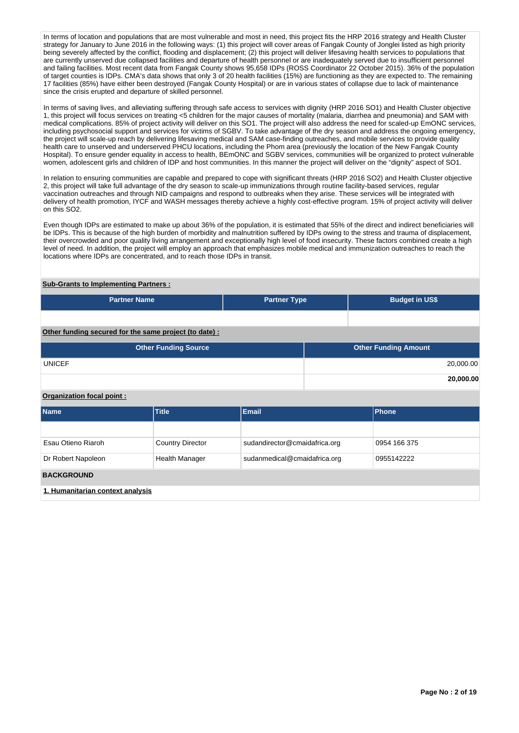In terms of location and populations that are most vulnerable and most in need, this project fits the HRP 2016 strategy and Health Cluster strategy for January to June 2016 in the following ways: (1) this project will cover areas of Fangak County of Jonglei listed as high priority being severely affected by the conflict, flooding and displacement; (2) this project will deliver lifesaving health services to populations that are currently unserved due collapsed facilities and departure of health personnel or are inadequately served due to insufficient personnel and failing facilities. Most recent data from Fangak County shows 95,658 IDPs (ROSS Coordinator 22 October 2015). 36% of the population of target counties is IDPs. CMA's data shows that only 3 of 20 health facilities (15%) are functioning as they are expected to. The remaining 17 facilities (85%) have either been destroyed (Fangak County Hospital) or are in various states of collapse due to lack of maintenance since the crisis erupted and departure of skilled personnel.

In terms of saving lives, and alleviating suffering through safe access to services with dignity (HRP 2016 SO1) and Health Cluster objective 1, this project will focus services on treating <5 children for the major causes of mortality (malaria, diarrhea and pneumonia) and SAM with medical complications. 85% of project activity will deliver on this SO1. The project will also address the need for scaled-up EmONC services, including psychosocial support and services for victims of SGBV. To take advantage of the dry season and address the ongoing emergency, the project will scale-up reach by delivering lifesaving medical and SAM case-finding outreaches, and mobile services to provide quality health care to unserved and underserved PHCU locations, including the Phom area (previously the location of the New Fangak County Hospital). To ensure gender equality in access to health, BEmONC and SGBV services, communities will be organized to protect vulnerable women, adolescent girls and children of IDP and host communities. In this manner the project will deliver on the "dignity" aspect of SO1.

In relation to ensuring communities are capable and prepared to cope with significant threats (HRP 2016 SO2) and Health Cluster objective 2, this project will take full advantage of the dry season to scale-up immunizations through routine facility-based services, regular vaccination outreaches and through NID campaigns and respond to outbreaks when they arise. These services will be integrated with delivery of health promotion, IYCF and WASH messages thereby achieve a highly cost-effective program. 15% of project activity will deliver on this SO2.

Even though IDPs are estimated to make up about 36% of the population, it is estimated that 55% of the direct and indirect beneficiaries will be IDPs. This is because of the high burden of morbidity and malnutrition suffered by IDPs owing to the stress and trauma of displacement, their overcrowded and poor quality living arrangement and exceptionally high level of food insecurity. These factors combined create a high level of need. In addition, the project will employ an approach that emphasizes mobile medical and immunization outreaches to reach the locations where IDPs are concentrated, and to reach those IDPs in transit.

# **Sub-Grants to Implementing Partners :**

| <b>Partner Name</b>                                    | <b>Partner Type</b> | <b>Budget in US\$</b>       |
|--------------------------------------------------------|---------------------|-----------------------------|
|                                                        |                     |                             |
| Other funding secured for the same project (to date) : |                     |                             |
| <b>Other Funding Source</b>                            |                     | <b>Other Funding Amount</b> |
| <b>UNICEF</b>                                          |                     | 20,000.00                   |
|                                                        |                     | 20,000.00                   |

# **Organization focal point :**

| <b>Name</b>                      | <b>Title</b>            | Email                         | Phone        |
|----------------------------------|-------------------------|-------------------------------|--------------|
|                                  |                         |                               |              |
| Esau Otieno Riaroh               | <b>Country Director</b> | sudandirector@cmaidafrica.org | 0954 166 375 |
| Dr Robert Napoleon               | <b>Health Manager</b>   | sudanmedical@cmaidafrica.org  | 0955142222   |
| <b>BACKGROUND</b>                |                         |                               |              |
| 1. Humanitarian context analysis |                         |                               |              |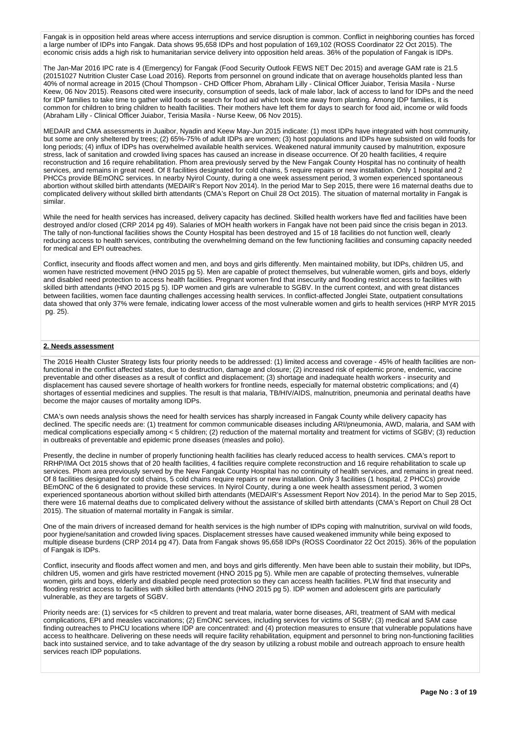Fangak is in opposition held areas where access interruptions and service disruption is common. Conflict in neighboring counties has forced a large number of IDPs into Fangak. Data shows 95,658 IDPs and host population of 169,102 (ROSS Coordinator 22 Oct 2015). The economic crisis adds a high risk to humanitarian service delivery into opposition held areas. 36% of the population of Fangak is IDPs.

The Jan-Mar 2016 IPC rate is 4 (Emergency) for Fangak (Food Security Outlook FEWS NET Dec 2015) and average GAM rate is 21.5 (20151027 Nutrition Cluster Case Load 2016). Reports from personnel on ground indicate that on average households planted less than 40% of normal acreage in 2015 (Choul Thompson - CHD Officer Phom, Abraham Lilly - Clinical Officer Juiabor, Terisia Masila - Nurse Keew, 06 Nov 2015). Reasons cited were insecurity, consumption of seeds, lack of male labor, lack of access to land for IDPs and the need for IDP families to take time to gather wild foods or search for food aid which took time away from planting. Among IDP families, it is common for children to bring children to health facilities. Their mothers have left them for days to search for food aid, income or wild foods (Abraham Lilly - Clinical Officer Juiabor, Terisia Masila - Nurse Keew, 06 Nov 2015).

MEDAIR and CMA assessments in Juaibor, Nyadin and Keew May-Jun 2015 indicate: (1) most IDPs have integrated with host community, but some are only sheltered by trees; (2) 65%-75% of adult IDPs are women; (3) host populations and IDPs have subsisted on wild foods for long periods; (4) influx of IDPs has overwhelmed available health services. Weakened natural immunity caused by malnutrition, exposure stress, lack of sanitation and crowded living spaces has caused an increase in disease occurrence. Of 20 health facilities, 4 require reconstruction and 16 require rehabilitation. Phom area previously served by the New Fangak County Hospital has no continuity of health services, and remains in great need. Of 8 facilities designated for cold chains, 5 require repairs or new installation. Only 1 hospital and 2 PHCCs provide BEmONC services. In nearby Nyirol County, during a one week assessment period, 3 women experienced spontaneous abortion without skilled birth attendants (MEDAIR's Report Nov 2014). In the period Mar to Sep 2015, there were 16 maternal deaths due to complicated delivery without skilled birth attendants (CMA's Report on Chuil 28 Oct 2015). The situation of maternal mortality in Fangak is similar.

While the need for health services has increased, delivery capacity has declined. Skilled health workers have fled and facilities have been destroyed and/or closed (CRP 2014 pg 49). Salaries of MOH health workers in Fangak have not been paid since the crisis began in 2013. The tally of non-functional facilities shows the County Hospital has been destroyed and 15 of 18 facilities do not function well, clearly reducing access to health services, contributing the overwhelming demand on the few functioning facilities and consuming capacity needed for medical and EPI outreaches.

Conflict, insecurity and floods affect women and men, and boys and girls differently. Men maintained mobility, but IDPs, children U5, and women have restricted movement (HNO 2015 pg 5). Men are capable of protect themselves, but vulnerable women, girls and boys, elderly and disabled need protection to access health facilities. Pregnant women find that insecurity and flooding restrict access to facilities with skilled birth attendants (HNO 2015 pg 5). IDP women and girls are vulnerable to SGBV. In the current context, and with great distances between facilities, women face daunting challenges accessing health services. In conflict-affected Jonglei State, outpatient consultations data showed that only 37% were female, indicating lower access of the most vulnerable women and girls to health services (HRP MYR 2015 pg. 25).

### **2. Needs assessment**

The 2016 Health Cluster Strategy lists four priority needs to be addressed: (1) limited access and coverage - 45% of health facilities are nonfunctional in the conflict affected states, due to destruction, damage and closure; (2) increased risk of epidemic prone, endemic, vaccine preventable and other diseases as a result of conflict and displacement; (3) shortage and inadequate health workers - insecurity and displacement has caused severe shortage of health workers for frontline needs, especially for maternal obstetric complications; and (4) shortages of essential medicines and supplies. The result is that malaria, TB/HIV/AIDS, malnutrition, pneumonia and perinatal deaths have become the major causes of mortality among IDPs.

CMA's own needs analysis shows the need for health services has sharply increased in Fangak County while delivery capacity has declined. The specific needs are: (1) treatment for common communicable diseases including ARI/pneumonia, AWD, malaria, and SAM with medical complications especially among < 5 children; (2) reduction of the maternal mortality and treatment for victims of SGBV; (3) reduction in outbreaks of preventable and epidemic prone diseases (measles and polio).

Presently, the decline in number of properly functioning health facilities has clearly reduced access to health services. CMA's report to RRHP/IMA Oct 2015 shows that of 20 health facilities, 4 facilities require complete reconstruction and 16 require rehabilitation to scale up services. Phom area previously served by the New Fangak County Hospital has no continuity of health services, and remains in great need. Of 8 facilities designated for cold chains, 5 cold chains require repairs or new installation. Only 3 facilities (1 hospital, 2 PHCCs) provide BEmONC of the 6 designated to provide these services. In Nyirol County, during a one week health assessment period, 3 women experienced spontaneous abortion without skilled birth attendants (MEDAIR's Assessment Report Nov 2014). In the period Mar to Sep 2015, there were 16 maternal deaths due to complicated delivery without the assistance of skilled birth attendants (CMA's Report on Chuil 28 Oct 2015). The situation of maternal mortality in Fangak is similar.

One of the main drivers of increased demand for health services is the high number of IDPs coping with malnutrition, survival on wild foods, poor hygiene/sanitation and crowded living spaces. Displacement stresses have caused weakened immunity while being exposed to multiple disease burdens (CRP 2014 pg 47). Data from Fangak shows 95,658 IDPs (ROSS Coordinator 22 Oct 2015). 36% of the population of Fangak is IDPs.

Conflict, insecurity and floods affect women and men, and boys and girls differently. Men have been able to sustain their mobility, but IDPs, children U5, women and girls have restricted movement (HNO 2015 pg 5). While men are capable of protecting themselves, vulnerable women, girls and boys, elderly and disabled people need protection so they can access health facilities. PLW find that insecurity and flooding restrict access to facilities with skilled birth attendants (HNO 2015 pg 5). IDP women and adolescent girls are particularly vulnerable, as they are targets of SGBV.

Priority needs are: (1) services for <5 children to prevent and treat malaria, water borne diseases, ARI, treatment of SAM with medical complications, EPI and measles vaccinations; (2) EmONC services, including services for victims of SGBV; (3) medical and SAM case finding outreaches to PHCU locations where IDP are concentrated: and (4) protection measures to ensure that vulnerable populations have access to healthcare. Delivering on these needs will require facility rehabilitation, equipment and personnel to bring non-functioning facilities back into sustained service, and to take advantage of the dry season by utilizing a robust mobile and outreach approach to ensure health services reach IDP populations.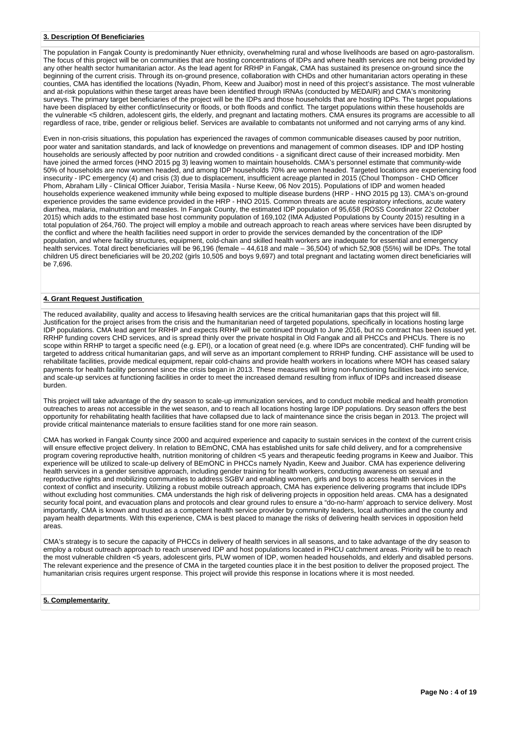### **3. Description Of Beneficiaries**

The population in Fangak County is predominantly Nuer ethnicity, overwhelming rural and whose livelihoods are based on agro-pastoralism. The focus of this project will be on communities that are hosting concentrations of IDPs and where health services are not being provided by any other health sector humanitarian actor. As the lead agent for RRHP in Fangak, CMA has sustained its presence on-ground since the beginning of the current crisis. Through its on-ground presence, collaboration with CHDs and other humanitarian actors operating in these counties, CMA has identified the locations (Nyadin, Phom, Keew and Juaibor) most in need of this project's assistance. The most vulnerable and at-risk populations within these target areas have been identified through IRNAs (conducted by MEDAIR) and CMA's monitoring surveys. The primary target beneficiaries of the project will be the IDPs and those households that are hosting IDPs. The target populations have been displaced by either conflict/insecurity or floods, or both floods and conflict. The target populations within these households are the vulnerable <5 children, adolescent girls, the elderly, and pregnant and lactating mothers. CMA ensures its programs are accessible to all regardless of race, tribe, gender or religious belief. Services are available to combatants not uniformed and not carrying arms of any kind.

Even in non-crisis situations, this population has experienced the ravages of common communicable diseases caused by poor nutrition, poor water and sanitation standards, and lack of knowledge on preventions and management of common diseases. IDP and IDP hosting households are seriously affected by poor nutrition and crowded conditions - a significant direct cause of their increased morbidity. Men have joined the armed forces (HNO 2015 pg 3) leaving women to maintain households. CMA's personnel estimate that community-wide 50% of households are now women headed, and among IDP households 70% are women headed. Targeted locations are experiencing food insecurity - IPC emergency (4) and crisis (3) due to displacement, insufficient acreage planted in 2015 (Choul Thompson - CHD Officer Phom, Abraham Lilly - Clinical Officer Juiabor, Terisia Masila - Nurse Keew, 06 Nov 2015). Populations of IDP and women headed households experience weakened immunity while being exposed to multiple disease burdens (HRP - HNO 2015 pg 13). CMA's on-ground experience provides the same evidence provided in the HRP - HNO 2015. Common threats are acute respiratory infections, acute watery diarrhea, malaria, malnutrition and measles. In Fangak County, the estimated IDP population of 95,658 (ROSS Coordinator 22 October 2015) which adds to the estimated base host community population of 169,102 (IMA Adjusted Populations by County 2015) resulting in a total population of 264,760. The project will employ a mobile and outreach approach to reach areas where services have been disrupted by the conflict and where the health facilities need support in order to provide the services demanded by the concentration of the IDP population, and where facility structures, equipment, cold-chain and skilled health workers are inadequate for essential and emergency health services. Total direct beneficiaries will be 96,196 (female – 44,618 and male – 36,504) of which 52,908 (55%) will be IDPs. The total children U5 direct beneficiaries will be 20,202 (girls 10,505 and boys 9,697) and total pregnant and lactating women direct beneficiaries will be 7,696.

# **4. Grant Request Justification**

The reduced availability, quality and access to lifesaving health services are the critical humanitarian gaps that this project will fill. Justification for the project arises from the crisis and the humanitarian need of targeted populations, specifically in locations hosting large IDP populations. CMA lead agent for RRHP and expects RRHP will be continued through to June 2016, but no contract has been issued yet. RRHP funding covers CHD services, and is spread thinly over the private hospital in Old Fangak and all PHCCs and PHCUs. There is no scope within RRHP to target a specific need (e.g. EPI), or a location of great need (e.g. where IDPs are concentrated). CHF funding will be targeted to address critical humanitarian gaps, and will serve as an important complement to RRHP funding. CHF assistance will be used to rehabilitate facilities, provide medical equipment, repair cold-chains and provide health workers in locations where MOH has ceased salary payments for health facility personnel since the crisis began in 2013. These measures will bring non-functioning facilities back into service, and scale-up services at functioning facilities in order to meet the increased demand resulting from influx of IDPs and increased disease burden.

This project will take advantage of the dry season to scale-up immunization services, and to conduct mobile medical and health promotion outreaches to areas not accessible in the wet season, and to reach all locations hosting large IDP populations. Dry season offers the best opportunity for rehabilitating health facilities that have collapsed due to lack of maintenance since the crisis began in 2013. The project will provide critical maintenance materials to ensure facilities stand for one more rain season.

CMA has worked in Fangak County since 2000 and acquired experience and capacity to sustain services in the context of the current crisis will ensure effective project delivery. In relation to BEmONC, CMA has established units for safe child delivery, and for a comprehensive program covering reproductive health, nutrition monitoring of children <5 years and therapeutic feeding programs in Keew and Juaibor. This experience will be utilized to scale-up delivery of BEmONC in PHCCs namely Nyadin, Keew and Juaibor. CMA has experience delivering health services in a gender sensitive approach, including gender training for health workers, conducting awareness on sexual and reproductive rights and mobilizing communities to address SGBV and enabling women, girls and boys to access health services in the context of conflict and insecurity. Utilizing a robust mobile outreach approach, CMA has experience delivering programs that include IDPs without excluding host communities. CMA understands the high risk of delivering projects in opposition held areas. CMA has a designated security focal point, and evacuation plans and protocols and clear ground rules to ensure a "do-no-harm' approach to service delivery. Most importantly, CMA is known and trusted as a competent health service provider by community leaders, local authorities and the county and payam health departments. With this experience, CMA is best placed to manage the risks of delivering health services in opposition held areas.

CMA's strategy is to secure the capacity of PHCCs in delivery of health services in all seasons, and to take advantage of the dry season to employ a robust outreach approach to reach unserved IDP and host populations located in PHCU catchment areas. Priority will be to reach the most vulnerable children <5 years, adolescent girls, PLW women of IDP, women headed households, and elderly and disabled persons. The relevant experience and the presence of CMA in the targeted counties place it in the best position to deliver the proposed project. The humanitarian crisis requires urgent response. This project will provide this response in locations where it is most needed.

#### **5. Complementarity**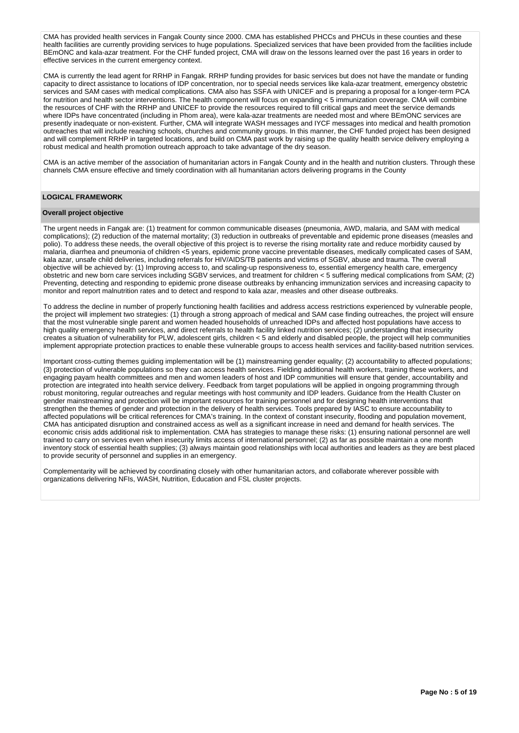CMA has provided health services in Fangak County since 2000. CMA has established PHCCs and PHCUs in these counties and these health facilities are currently providing services to huge populations. Specialized services that have been provided from the facilities include BEmONC and kala-azar treatment. For the CHF funded project, CMA will draw on the lessons learned over the past 16 years in order to effective services in the current emergency context.

CMA is currently the lead agent for RRHP in Fangak. RRHP funding provides for basic services but does not have the mandate or funding capacity to direct assistance to locations of IDP concentration, nor to special needs services like kala-azar treatment, emergency obstetric services and SAM cases with medical complications. CMA also has SSFA with UNICEF and is preparing a proposal for a longer-term PCA for nutrition and health sector interventions. The health component will focus on expanding < 5 immunization coverage. CMA will combine the resources of CHF with the RRHP and UNICEF to provide the resources required to fill critical gaps and meet the service demands where IDPs have concentrated (including in Phom area), were kala-azar treatments are needed most and where BEmONC services are presently inadequate or non-existent. Further, CMA will integrate WASH messages and IYCF messages into medical and health promotion outreaches that will include reaching schools, churches and community groups. In this manner, the CHF funded project has been designed and will complement RRHP in targeted locations, and build on CMA past work by raising up the quality health service delivery employing a robust medical and health promotion outreach approach to take advantage of the dry season.

CMA is an active member of the association of humanitarian actors in Fangak County and in the health and nutrition clusters. Through these channels CMA ensure effective and timely coordination with all humanitarian actors delivering programs in the County

### **LOGICAL FRAMEWORK**

# **Overall project objective**

The urgent needs in Fangak are: (1) treatment for common communicable diseases (pneumonia, AWD, malaria, and SAM with medical complications); (2) reduction of the maternal mortality; (3) reduction in outbreaks of preventable and epidemic prone diseases (measles and polio). To address these needs, the overall objective of this project is to reverse the rising mortality rate and reduce morbidity caused by malaria, diarrhea and pneumonia of children <5 years, epidemic prone vaccine preventable diseases, medically complicated cases of SAM, kala azar, unsafe child deliveries, including referrals for HIV/AIDS/TB patients and victims of SGBV, abuse and trauma. The overall objective will be achieved by: (1) Improving access to, and scaling-up responsiveness to, essential emergency health care, emergency obstetric and new born care services including SGBV services, and treatment for children < 5 suffering medical complications from SAM; (2) Preventing, detecting and responding to epidemic prone disease outbreaks by enhancing immunization services and increasing capacity to monitor and report malnutrition rates and to detect and respond to kala azar, measles and other disease outbreaks.

To address the decline in number of properly functioning health facilities and address access restrictions experienced by vulnerable people, the project will implement two strategies: (1) through a strong approach of medical and SAM case finding outreaches, the project will ensure that the most vulnerable single parent and women headed households of unreached IDPs and affected host populations have access to high quality emergency health services, and direct referrals to health facility linked nutrition services; (2) understanding that insecurity creates a situation of vulnerability for PLW, adolescent girls, children < 5 and elderly and disabled people, the project will help communities implement appropriate protection practices to enable these vulnerable groups to access health services and facility-based nutrition services.

Important cross-cutting themes guiding implementation will be (1) mainstreaming gender equality; (2) accountability to affected populations; (3) protection of vulnerable populations so they can access health services. Fielding additional health workers, training these workers, and engaging payam health committees and men and women leaders of host and IDP communities will ensure that gender, accountability and protection are integrated into health service delivery. Feedback from target populations will be applied in ongoing programming through robust monitoring, regular outreaches and regular meetings with host community and IDP leaders. Guidance from the Health Cluster on gender mainstreaming and protection will be important resources for training personnel and for designing health interventions that strengthen the themes of gender and protection in the delivery of health services. Tools prepared by IASC to ensure accountability to affected populations will be critical references for CMA's training. In the context of constant insecurity, flooding and population movement, CMA has anticipated disruption and constrained access as well as a significant increase in need and demand for health services. The economic crisis adds additional risk to implementation. CMA has strategies to manage these risks: (1) ensuring national personnel are well trained to carry on services even when insecurity limits access of international personnel; (2) as far as possible maintain a one month inventory stock of essential health supplies; (3) always maintain good relationships with local authorities and leaders as they are best placed to provide security of personnel and supplies in an emergency.

Complementarity will be achieved by coordinating closely with other humanitarian actors, and collaborate wherever possible with organizations delivering NFIs, WASH, Nutrition, Education and FSL cluster projects.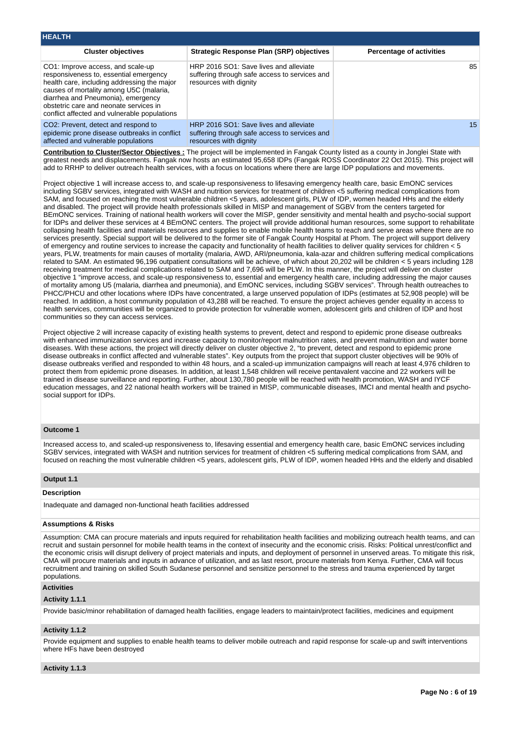| <b>HEALTH</b>                                                                                                                                                                                                                                                                                         |                                                                                                                   |                                 |
|-------------------------------------------------------------------------------------------------------------------------------------------------------------------------------------------------------------------------------------------------------------------------------------------------------|-------------------------------------------------------------------------------------------------------------------|---------------------------------|
| <b>Cluster objectives</b>                                                                                                                                                                                                                                                                             | Strategic Response Plan (SRP) objectives                                                                          | <b>Percentage of activities</b> |
| CO1: Improve access, and scale-up<br>responsiveness to, essential emergency<br>health care, including addressing the major<br>causes of mortality among U5C (malaria,<br>diarrhea and Pneumonia), emergency<br>obstetric care and neonate services in<br>conflict affected and vulnerable populations | HRP 2016 SO1: Save lives and alleviate<br>suffering through safe access to services and<br>resources with dignity | 85                              |
| CO <sub>2</sub> : Prevent, detect and respond to<br>epidemic prone disease outbreaks in conflict<br>affected and vulnerable populations                                                                                                                                                               | HRP 2016 SO1: Save lives and alleviate<br>suffering through safe access to services and<br>resources with dignity | 15 <sup>15</sup>                |

**Contribution to Cluster/Sector Objectives :** The project will be implemented in Fangak County listed as a county in Jonglei State with greatest needs and displacements. Fangak now hosts an estimated 95,658 IDPs (Fangak ROSS Coordinator 22 Oct 2015). This project will add to RRHP to deliver outreach health services, with a focus on locations where there are large IDP populations and movements.

Project objective 1 will increase access to, and scale-up responsiveness to lifesaving emergency health care, basic EmONC services including SGBV services, integrated with WASH and nutrition services for treatment of children <5 suffering medical complications from SAM, and focused on reaching the most vulnerable children <5 years, adolescent girls, PLW of IDP, women headed HHs and the elderly and disabled. The project will provide health professionals skilled in MISP and management of SGBV from the centers targeted for BEmONC services. Training of national health workers will cover the MISP, gender sensitivity and mental health and psycho-social support for IDPs and deliver these services at 4 BEmONC centers. The project will provide additional human resources, some support to rehabilitate collapsing health facilities and materials resources and supplies to enable mobile health teams to reach and serve areas where there are no services presently. Special support will be delivered to the former site of Fangak County Hospital at Phom. The project will support delivery of emergency and routine services to increase the capacity and functionality of health facilities to deliver quality services for children < 5 years, PLW, treatments for main causes of mortality (malaria, AWD, ARI/pneumonia, kala-azar and children suffering medical complications related to SAM. An estimated 96,196 outpatient consultations will be achieve, of which about 20,202 will be children < 5 years including 128 receiving treatment for medical complications related to SAM and 7,696 will be PLW. In this manner, the project will deliver on cluster objective 1 "improve access, and scale-up responsiveness to, essential and emergency health care, including addressing the major causes of mortality among U5 (malaria, diarrhea and pneumonia), and EmONC services, including SGBV services". Through health outreaches to PHCC/PHCU and other locations where IDPs have concentrated, a large unserved population of IDPs (estimates at 52,908 people) will be reached. In addition, a host community population of 43,288 will be reached. To ensure the project achieves gender equality in access to health services, communities will be organized to provide protection for vulnerable women, adolescent girls and children of IDP and host communities so they can access services.

Project objective 2 will increase capacity of existing health systems to prevent, detect and respond to epidemic prone disease outbreaks with enhanced immunization services and increase capacity to monitor/report malnutrition rates, and prevent malnutrition and water borne diseases. With these actions, the project will directly deliver on cluster objective 2, "to prevent, detect and respond to epidemic prone disease outbreaks in conflict affected and vulnerable states". Key outputs from the project that support cluster objectives will be 90% of disease outbreaks verified and responded to within 48 hours, and a scaled-up immunization campaigns will reach at least 4,976 children to protect them from epidemic prone diseases. In addition, at least 1,548 children will receive pentavalent vaccine and 22 workers will be trained in disease surveillance and reporting. Further, about 130,780 people will be reached with health promotion, WASH and IYCF education messages, and 22 national health workers will be trained in MISP, communicable diseases, IMCI and mental health and psychosocial support for IDPs.

#### **Outcome 1**

Increased access to, and scaled-up responsiveness to, lifesaving essential and emergency health care, basic EmONC services including SGBV services, integrated with WASH and nutrition services for treatment of children <5 suffering medical complications from SAM, and focused on reaching the most vulnerable children <5 years, adolescent girls, PLW of IDP, women headed HHs and the elderly and disabled

### **Output 1.1**

### **Description**

Inadequate and damaged non-functional heath facilities addressed

# **Assumptions & Risks**

Assumption: CMA can procure materials and inputs required for rehabilitation health facilities and mobilizing outreach health teams, and can recruit and sustain personnel for mobile health teams in the context of insecurity and the economic crisis. Risks: Political unrest/conflict and the economic crisis will disrupt delivery of project materials and inputs, and deployment of personnel in unserved areas. To mitigate this risk, CMA will procure materials and inputs in advance of utilization, and as last resort, procure materials from Kenya. Further, CMA will focus recruitment and training on skilled South Sudanese personnel and sensitize personnel to the stress and trauma experienced by target populations.

### **Activities**

#### **Activity 1.1.1**

Provide basic/minor rehabilitation of damaged health facilities, engage leaders to maintain/protect facilities, medicines and equipment

### **Activity 1.1.2**

Provide equipment and supplies to enable health teams to deliver mobile outreach and rapid response for scale-up and swift interventions where HFs have been destroyed

#### **Activity 1.1.3**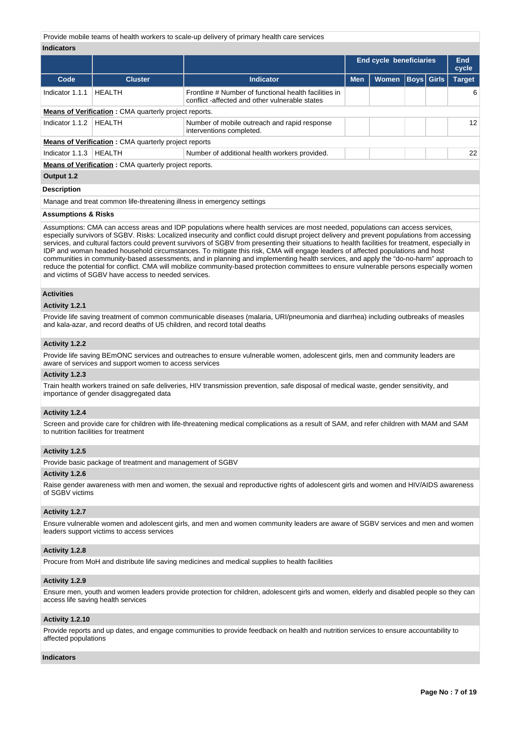Provide mobile teams of health workers to scale-up delivery of primary health care services

### **Indicators**

|                                                              |                                                              |                                                                                                        | <b>End cycle beneficiaries</b> |              | End<br>cycle      |  |               |  |  |
|--------------------------------------------------------------|--------------------------------------------------------------|--------------------------------------------------------------------------------------------------------|--------------------------------|--------------|-------------------|--|---------------|--|--|
| Code                                                         | <b>Cluster</b>                                               | <b>Indicator</b>                                                                                       | <b>Men</b>                     | <b>Women</b> | <b>Boys Girls</b> |  | <b>Target</b> |  |  |
| Indicator 1.1.1                                              | <b>HEALTH</b>                                                | Frontline # Number of functional health facilities in<br>conflict-affected and other vulnerable states |                                |              |                   |  | 6             |  |  |
| <b>Means of Verification:</b> CMA quarterly project reports. |                                                              |                                                                                                        |                                |              |                   |  |               |  |  |
| Indicator 1.1.2                                              | <b>HEALTH</b>                                                | Number of mobile outreach and rapid response<br>interventions completed.                               |                                |              |                   |  | 12            |  |  |
|                                                              | <b>Means of Verification:</b> CMA quarterly project reports  |                                                                                                        |                                |              |                   |  |               |  |  |
| Indicator 1.1.3                                              | HEALTH                                                       | Number of additional health workers provided.                                                          |                                |              |                   |  | 22            |  |  |
|                                                              | <b>Means of Verification:</b> CMA quarterly project reports. |                                                                                                        |                                |              |                   |  |               |  |  |
| Output 1.2                                                   |                                                              |                                                                                                        |                                |              |                   |  |               |  |  |
| <b>Description</b>                                           |                                                              |                                                                                                        |                                |              |                   |  |               |  |  |

Manage and treat common life-threatening illness in emergency settings

#### **Assumptions & Risks**

Assumptions: CMA can access areas and IDP populations where health services are most needed, populations can access services, especially survivors of SGBV. Risks: Localized insecurity and conflict could disrupt project delivery and prevent populations from accessing services, and cultural factors could prevent survivors of SGBV from presenting their situations to health facilities for treatment, especially in IDP and woman headed household circumstances. To mitigate this risk, CMA will engage leaders of affected populations and host communities in community-based assessments, and in planning and implementing health services, and apply the "do-no-harm" approach to reduce the potential for conflict. CMA will mobilize community-based protection committees to ensure vulnerable persons especially women and victims of SGBV have access to needed services.

### **Activities**

#### **Activity 1.2.1**

Provide life saving treatment of common communicable diseases (malaria, URI/pneumonia and diarrhea) including outbreaks of measles and kala-azar, and record deaths of U5 children, and record total deaths

#### **Activity 1.2.2**

Provide life saving BEmONC services and outreaches to ensure vulnerable women, adolescent girls, men and community leaders are aware of services and support women to access services

#### **Activity 1.2.3**

Train health workers trained on safe deliveries, HIV transmission prevention, safe disposal of medical waste, gender sensitivity, and importance of gender disaggregated data

#### **Activity 1.2.4**

Screen and provide care for children with life-threatening medical complications as a result of SAM, and refer children with MAM and SAM to nutrition facilities for treatment

#### **Activity 1.2.5**

Provide basic package of treatment and management of SGBV

#### **Activity 1.2.6**

Raise gender awareness with men and women, the sexual and reproductive rights of adolescent girls and women and HIV/AIDS awareness of SGBV victims

#### **Activity 1.2.7**

Ensure vulnerable women and adolescent girls, and men and women community leaders are aware of SGBV services and men and women leaders support victims to access services

#### **Activity 1.2.8**

Procure from MoH and distribute life saving medicines and medical supplies to health facilities

#### **Activity 1.2.9**

Ensure men, youth and women leaders provide protection for children, adolescent girls and women, elderly and disabled people so they can access life saving health services

#### **Activity 1.2.10**

Provide reports and up dates, and engage communities to provide feedback on health and nutrition services to ensure accountability to affected populations

#### **Indicators**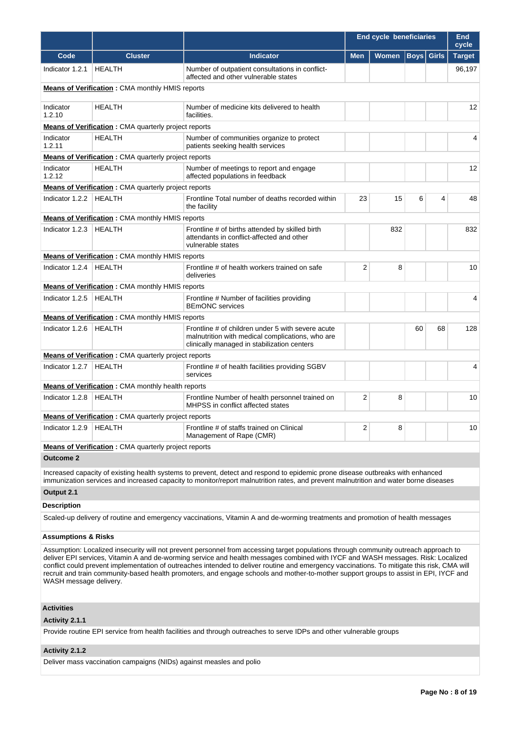|                                |                                                              |                                                                                                                                                                                                                                                                                                                                                                                                                                                                                                                                                                  | <b>End cycle beneficiaries</b><br><b>End</b><br>cycle |              |                   |    |                |
|--------------------------------|--------------------------------------------------------------|------------------------------------------------------------------------------------------------------------------------------------------------------------------------------------------------------------------------------------------------------------------------------------------------------------------------------------------------------------------------------------------------------------------------------------------------------------------------------------------------------------------------------------------------------------------|-------------------------------------------------------|--------------|-------------------|----|----------------|
| Code                           | <b>Cluster</b>                                               | <b>Indicator</b>                                                                                                                                                                                                                                                                                                                                                                                                                                                                                                                                                 | <b>Men</b>                                            | <b>Women</b> | <b>Boys</b> Girls |    | <b>Target</b>  |
| Indicator 1.2.1                | <b>HEALTH</b>                                                | Number of outpatient consultations in conflict-<br>affected and other vulnerable states                                                                                                                                                                                                                                                                                                                                                                                                                                                                          |                                                       |              |                   |    | 96,197         |
|                                | <b>Means of Verification:</b> CMA monthly HMIS reports       |                                                                                                                                                                                                                                                                                                                                                                                                                                                                                                                                                                  |                                                       |              |                   |    |                |
| Indicator<br>1.2.10            | <b>HEALTH</b>                                                | Number of medicine kits delivered to health<br>facilities.                                                                                                                                                                                                                                                                                                                                                                                                                                                                                                       |                                                       |              |                   |    | 12             |
|                                | <b>Means of Verification:</b> CMA quarterly project reports  |                                                                                                                                                                                                                                                                                                                                                                                                                                                                                                                                                                  |                                                       |              |                   |    |                |
| Indicator<br>1.2.11            | <b>HEALTH</b>                                                | Number of communities organize to protect<br>patients seeking health services                                                                                                                                                                                                                                                                                                                                                                                                                                                                                    |                                                       |              |                   |    | 4              |
|                                | <b>Means of Verification</b> : CMA quarterly project reports |                                                                                                                                                                                                                                                                                                                                                                                                                                                                                                                                                                  |                                                       |              |                   |    |                |
| Indicator<br>1.2.12            | <b>HEALTH</b>                                                | Number of meetings to report and engage<br>affected populations in feedback                                                                                                                                                                                                                                                                                                                                                                                                                                                                                      |                                                       |              |                   |    | 12             |
|                                | <b>Means of Verification:</b> CMA quarterly project reports  |                                                                                                                                                                                                                                                                                                                                                                                                                                                                                                                                                                  |                                                       |              |                   |    |                |
| Indicator 1.2.2                | <b>HEALTH</b>                                                | Frontline Total number of deaths recorded within<br>the facility                                                                                                                                                                                                                                                                                                                                                                                                                                                                                                 | 23                                                    | 15           | 6                 | 4  | 48             |
|                                | <b>Means of Verification: CMA monthly HMIS reports</b>       |                                                                                                                                                                                                                                                                                                                                                                                                                                                                                                                                                                  |                                                       |              |                   |    |                |
| Indicator 1.2.3                | <b>HEALTH</b>                                                | Frontline # of births attended by skilled birth<br>attendants in conflict-affected and other<br>vulnerable states                                                                                                                                                                                                                                                                                                                                                                                                                                                |                                                       | 832          |                   |    | 832            |
|                                | <b>Means of Verification: CMA monthly HMIS reports</b>       |                                                                                                                                                                                                                                                                                                                                                                                                                                                                                                                                                                  |                                                       |              |                   |    |                |
| Indicator 1.2.4                | <b>HEALTH</b>                                                | Frontline # of health workers trained on safe<br>deliveries                                                                                                                                                                                                                                                                                                                                                                                                                                                                                                      | 2                                                     | 8            |                   |    | 10             |
|                                | <b>Means of Verification:</b> CMA monthly HMIS reports       |                                                                                                                                                                                                                                                                                                                                                                                                                                                                                                                                                                  |                                                       |              |                   |    |                |
| Indicator 1.2.5                | <b>HEALTH</b>                                                | Frontline # Number of facilities providing<br><b>BEmONC</b> services                                                                                                                                                                                                                                                                                                                                                                                                                                                                                             |                                                       |              |                   |    | $\overline{4}$ |
|                                | <b>Means of Verification:</b> CMA monthly HMIS reports       |                                                                                                                                                                                                                                                                                                                                                                                                                                                                                                                                                                  |                                                       |              |                   |    |                |
| Indicator 1.2.6                | <b>HEALTH</b>                                                | Frontline # of children under 5 with severe acute<br>malnutrition with medical complications, who are<br>clinically managed in stabilization centers                                                                                                                                                                                                                                                                                                                                                                                                             |                                                       |              | 60                | 68 | 128            |
|                                | <b>Means of Verification:</b> CMA quarterly project reports  |                                                                                                                                                                                                                                                                                                                                                                                                                                                                                                                                                                  |                                                       |              |                   |    |                |
| Indicator 1.2.7                | <b>HEALTH</b>                                                | Frontline # of health facilities providing SGBV<br>services                                                                                                                                                                                                                                                                                                                                                                                                                                                                                                      |                                                       |              |                   |    | 4              |
|                                | <b>Means of Verification</b> : CMA monthly health reports    |                                                                                                                                                                                                                                                                                                                                                                                                                                                                                                                                                                  |                                                       |              |                   |    |                |
| Indicator 1.2.8                | <b>HEALTH</b>                                                | Frontline Number of health personnel trained on<br>MHPSS in conflict affected states                                                                                                                                                                                                                                                                                                                                                                                                                                                                             | 2                                                     | 8            |                   |    | 10             |
|                                | <b>Means of Verification</b> : CMA quarterly project reports |                                                                                                                                                                                                                                                                                                                                                                                                                                                                                                                                                                  |                                                       |              |                   |    |                |
| Indicator 1.2.9                | <b>HEALTH</b>                                                | Frontline # of staffs trained on Clinical<br>Management of Rape (CMR)                                                                                                                                                                                                                                                                                                                                                                                                                                                                                            | 2                                                     | 8            |                   |    | 10             |
|                                | <b>Means of Verification</b> : CMA quarterly project reports |                                                                                                                                                                                                                                                                                                                                                                                                                                                                                                                                                                  |                                                       |              |                   |    |                |
| <b>Outcome 2</b>               |                                                              |                                                                                                                                                                                                                                                                                                                                                                                                                                                                                                                                                                  |                                                       |              |                   |    |                |
|                                |                                                              | Increased capacity of existing health systems to prevent, detect and respond to epidemic prone disease outbreaks with enhanced<br>immunization services and increased capacity to monitor/report malnutrition rates, and prevent malnutrition and water borne diseases                                                                                                                                                                                                                                                                                           |                                                       |              |                   |    |                |
| Output 2.1                     |                                                              |                                                                                                                                                                                                                                                                                                                                                                                                                                                                                                                                                                  |                                                       |              |                   |    |                |
| <b>Description</b>             |                                                              |                                                                                                                                                                                                                                                                                                                                                                                                                                                                                                                                                                  |                                                       |              |                   |    |                |
|                                |                                                              | Scaled-up delivery of routine and emergency vaccinations, Vitamin A and de-worming treatments and promotion of health messages                                                                                                                                                                                                                                                                                                                                                                                                                                   |                                                       |              |                   |    |                |
| <b>Assumptions &amp; Risks</b> |                                                              |                                                                                                                                                                                                                                                                                                                                                                                                                                                                                                                                                                  |                                                       |              |                   |    |                |
| WASH message delivery.         |                                                              | Assumption: Localized insecurity will not prevent personnel from accessing target populations through community outreach approach to<br>deliver EPI services, Vitamin A and de-worming service and health messages combined with IYCF and WASH messages. Risk: Localized<br>conflict could prevent implementation of outreaches intended to deliver routine and emergency vaccinations. To mitigate this risk, CMA will<br>recruit and train community-based health promoters, and engage schools and mother-to-mother support groups to assist in EPI, IYCF and |                                                       |              |                   |    |                |
| <b>Activities</b>              |                                                              |                                                                                                                                                                                                                                                                                                                                                                                                                                                                                                                                                                  |                                                       |              |                   |    |                |

# **Activity 2.1.1**

Provide routine EPI service from health facilities and through outreaches to serve IDPs and other vulnerable groups

# **Activity 2.1.2**

Deliver mass vaccination campaigns (NIDs) against measles and polio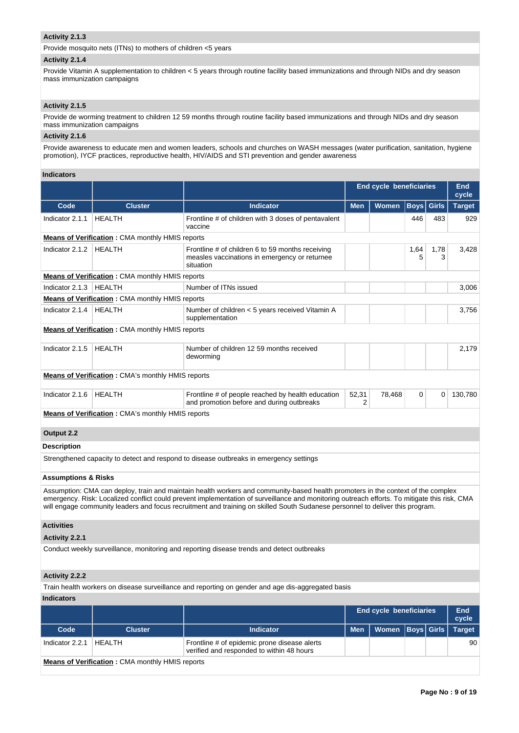# **Activity 2.1.3**

Provide mosquito nets (ITNs) to mothers of children <5 years

# **Activity 2.1.4**

Provide Vitamin A supplementation to children < 5 years through routine facility based immunizations and through NIDs and dry season mass immunization campaigns

# **Activity 2.1.5**

Provide de worming treatment to children 12 59 months through routine facility based immunizations and through NIDs and dry season mass immunization campaigns

# **Activity 2.1.6**

Provide awareness to educate men and women leaders, schools and churches on WASH messages (water purification, sanitation, hygiene promotion), IYCF practices, reproductive health, HIV/AIDS and STI prevention and gender awareness

### **Indicators**

|                                |                                                          |                                                                                                                                                                                                                                                                                                                                                                                                                   | <b>End cycle beneficiaries</b> | <b>End</b><br>cycle     |             |              |                     |
|--------------------------------|----------------------------------------------------------|-------------------------------------------------------------------------------------------------------------------------------------------------------------------------------------------------------------------------------------------------------------------------------------------------------------------------------------------------------------------------------------------------------------------|--------------------------------|-------------------------|-------------|--------------|---------------------|
| Code                           | <b>Cluster</b>                                           | <b>Indicator</b>                                                                                                                                                                                                                                                                                                                                                                                                  | <b>Men</b>                     | <b>Women</b>            | <b>Boys</b> | <b>Girls</b> | <b>Target</b>       |
| Indicator 2.1.1                | <b>HEALTH</b>                                            | Frontline # of children with 3 doses of pentavalent<br>vaccine                                                                                                                                                                                                                                                                                                                                                    |                                |                         | 446         | 483          | 929                 |
|                                | <b>Means of Verification:</b> CMA monthly HMIS reports   |                                                                                                                                                                                                                                                                                                                                                                                                                   |                                |                         |             |              |                     |
| Indicator 2.1.2                | <b>HEALTH</b>                                            | Frontline # of children 6 to 59 months receiving<br>measles vaccinations in emergency or returnee<br>situation                                                                                                                                                                                                                                                                                                    |                                |                         | 1,64<br>5   | 1,78<br>3    | 3,428               |
|                                | <b>Means of Verification:</b> CMA monthly HMIS reports   |                                                                                                                                                                                                                                                                                                                                                                                                                   |                                |                         |             |              |                     |
| Indicator 2.1.3                | <b>HEALTH</b>                                            | Number of ITNs issued                                                                                                                                                                                                                                                                                                                                                                                             |                                |                         |             |              | 3,006               |
|                                | <b>Means of Verification:</b> CMA monthly HMIS reports   |                                                                                                                                                                                                                                                                                                                                                                                                                   |                                |                         |             |              |                     |
| Indicator 2.1.4                | HEALTH                                                   | Number of children < 5 years received Vitamin A<br>supplementation                                                                                                                                                                                                                                                                                                                                                |                                |                         |             |              | 3,756               |
|                                | <b>Means of Verification:</b> CMA monthly HMIS reports   |                                                                                                                                                                                                                                                                                                                                                                                                                   |                                |                         |             |              |                     |
| Indicator 2.1.5                | <b>HEALTH</b>                                            | Number of children 12 59 months received<br>deworming                                                                                                                                                                                                                                                                                                                                                             |                                |                         |             |              | 2,179               |
|                                | <b>Means of Verification:</b> CMA's monthly HMIS reports |                                                                                                                                                                                                                                                                                                                                                                                                                   |                                |                         |             |              |                     |
| Indicator 2.1.6                | <b>HEALTH</b>                                            | Frontline # of people reached by health education<br>and promotion before and during outbreaks                                                                                                                                                                                                                                                                                                                    | 52,31<br>2                     | 78,468                  | 0           | 0            | 130,780             |
|                                | <b>Means of Verification:</b> CMA's monthly HMIS reports |                                                                                                                                                                                                                                                                                                                                                                                                                   |                                |                         |             |              |                     |
| Output 2.2                     |                                                          |                                                                                                                                                                                                                                                                                                                                                                                                                   |                                |                         |             |              |                     |
| <b>Description</b>             |                                                          |                                                                                                                                                                                                                                                                                                                                                                                                                   |                                |                         |             |              |                     |
|                                |                                                          | Strengthened capacity to detect and respond to disease outbreaks in emergency settings                                                                                                                                                                                                                                                                                                                            |                                |                         |             |              |                     |
| <b>Assumptions &amp; Risks</b> |                                                          |                                                                                                                                                                                                                                                                                                                                                                                                                   |                                |                         |             |              |                     |
|                                |                                                          | Assumption: CMA can deploy, train and maintain health workers and community-based health promoters in the context of the complex<br>emergency. Risk: Localized conflict could prevent implementation of surveillance and monitoring outreach efforts. To mitigate this risk, CMA<br>will engage community leaders and focus recruitment and training on skilled South Sudanese personnel to deliver this program. |                                |                         |             |              |                     |
| <b>Activities</b>              |                                                          |                                                                                                                                                                                                                                                                                                                                                                                                                   |                                |                         |             |              |                     |
| <b>Activity 2.2.1</b>          |                                                          |                                                                                                                                                                                                                                                                                                                                                                                                                   |                                |                         |             |              |                     |
|                                |                                                          | Conduct weekly surveillance, monitoring and reporting disease trends and detect outbreaks                                                                                                                                                                                                                                                                                                                         |                                |                         |             |              |                     |
| Activity 2.2.2                 |                                                          |                                                                                                                                                                                                                                                                                                                                                                                                                   |                                |                         |             |              |                     |
|                                |                                                          | Train health workers on disease surveillance and reporting on gender and age dis-aggregated basis                                                                                                                                                                                                                                                                                                                 |                                |                         |             |              |                     |
| <b>Indicators</b>              |                                                          |                                                                                                                                                                                                                                                                                                                                                                                                                   |                                |                         |             |              |                     |
|                                |                                                          |                                                                                                                                                                                                                                                                                                                                                                                                                   |                                | End cycle beneficiaries |             |              | <b>End</b><br>cycle |
| Code                           | <b>Cluster</b>                                           | <b>Indicator</b>                                                                                                                                                                                                                                                                                                                                                                                                  | <b>Men</b>                     | <b>Women</b>            | Boys  Girls |              | <b>Target</b>       |
| Indicator 2.2.1                | <b>HEALTH</b>                                            | Frontline # of epidemic prone disease alerts<br>verified and responded to within 48 hours                                                                                                                                                                                                                                                                                                                         |                                |                         |             |              | 90                  |

**Means of Verification :** CMA monthly HMIS reports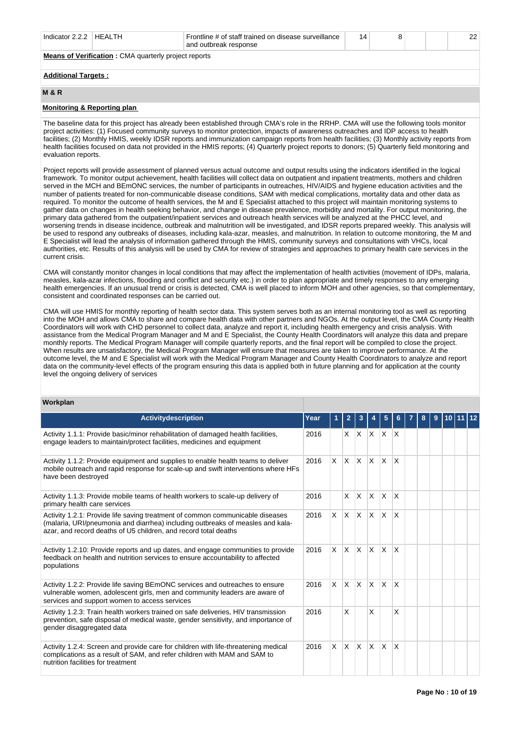| Indicator $2.2.2$ | HFAI TH                                                     | Frontline # of staff trained on disease surveillance<br>and outbreak response | 14 |  | つつ |
|-------------------|-------------------------------------------------------------|-------------------------------------------------------------------------------|----|--|----|
|                   | <b>Means of Verification: CMA quarterly project reports</b> |                                                                               |    |  |    |

# **Additional Targets :**

# **M & R**

## **Monitoring & Reporting plan**

The baseline data for this project has already been established through CMA's role in the RRHP. CMA will use the following tools monitor project activities: (1) Focused community surveys to monitor protection, impacts of awareness outreaches and IDP access to health facilities; (2) Monthly HMIS, weekly IDSR reports and immunization campaign reports from health facilities; (3) Monthly activity reports from health facilities focused on data not provided in the HMIS reports; (4) Quarterly project reports to donors; (5) Quarterly field monitoring and evaluation reports.

Project reports will provide assessment of planned versus actual outcome and output results using the indicators identified in the logical framework. To monitor output achievement, health facilities will collect data on outpatient and inpatient treatments, mothers and children served in the MCH and BEmONC services, the number of participants in outreaches, HIV/AIDS and hygiene education activities and the number of patients treated for non-communicable disease conditions, SAM with medical complications, mortality data and other data as required. To monitor the outcome of health services, the M and E Specialist attached to this project will maintain monitoring systems to gather data on changes in health seeking behavior, and change in disease prevalence, morbidity and mortality. For output monitoring, the primary data gathered from the outpatient/inpatient services and outreach health services will be analyzed at the PHCC level, and worsening trends in disease incidence, outbreak and malnutrition will be investigated, and IDSR reports prepared weekly. This analysis will be used to respond any outbreaks of diseases, including kala-azar, measles, and malnutrition. In relation to outcome monitoring, the M and E Specialist will lead the analysis of information gathered through the HMIS, community surveys and consultations with VHCs, local authorities, etc. Results of this analysis will be used by CMA for review of strategies and approaches to primary health care services in the current crisis.

CMA will constantly monitor changes in local conditions that may affect the implementation of health activities (movement of IDPs, malaria, measles, kala-azar infections, flooding and conflict and security etc.) in order to plan appropriate and timely responses to any emerging health emergencies. If an unusual trend or crisis is detected, CMA is well placed to inform MOH and other agencies, so that complementary, consistent and coordinated responses can be carried out.

CMA will use HMIS for monthly reporting of health sector data. This system serves both as an internal monitoring tool as well as reporting into the MOH and allows CMA to share and compare health data with other partners and NGOs. At the output level, the CMA County Health Coordinators will work with CHD personnel to collect data, analyze and report it, including health emergency and crisis analysis. With assistance from the Medical Program Manager and M and E Specialist, the County Health Coordinators will analyze this data and prepare monthly reports. The Medical Program Manager will compile quarterly reports, and the final report will be compiled to close the project. When results are unsatisfactory, the Medical Program Manager will ensure that measures are taken to improve performance. At the outcome level, the M and E Specialist will work with the Medical Program Manager and County Health Coordinators to analyze and report data on the community-level effects of the program ensuring this data is applied both in future planning and for application at the county level the ongoing delivery of services

| Workplan                                                                                                                                                                                                                           |      |          |              |                   |     |              |              |   |    |  |
|------------------------------------------------------------------------------------------------------------------------------------------------------------------------------------------------------------------------------------|------|----------|--------------|-------------------|-----|--------------|--------------|---|----|--|
| <b>Activitydescription</b>                                                                                                                                                                                                         | Year |          | $\mathbf{2}$ | 3                 | 4   | 5            | 6            | 8 | 10 |  |
| Activity 1.1.1: Provide basic/minor rehabilitation of damaged health facilities,<br>engage leaders to maintain/protect facilities, medicines and equipment                                                                         | 2016 |          |              | $x \mid x \mid x$ |     | $\mathsf{X}$ | $\mathsf{X}$ |   |    |  |
| Activity 1.1.2: Provide equipment and supplies to enable health teams to deliver<br>mobile outreach and rapid response for scale-up and swift interventions where HFs<br>have been destroyed                                       | 2016 | $\times$ |              | $x \times x$      |     |              | $\mathsf{X}$ |   |    |  |
| Activity 1.1.3: Provide mobile teams of health workers to scale-up delivery of<br>primary health care services                                                                                                                     | 2016 |          | ΙX.          | <b>X</b>          | ΙX. | $\mathsf{X}$ | $\mathsf{X}$ |   |    |  |
| Activity 1.2.1: Provide life saving treatment of common communicable diseases<br>(malaria, URI/pneumonia and diarrhea) including outbreaks of measles and kala-<br>azar, and record deaths of U5 children, and record total deaths | 2016 | $\times$ |              | $X$ $X$ $X$       |     | $\mathsf{X}$ | $\mathsf{X}$ |   |    |  |
| Activity 1.2.10: Provide reports and up dates, and engage communities to provide<br>feedback on health and nutrition services to ensure accountability to affected<br>populations                                                  | 2016 |          |              | $X$ $X$ $X$ $X$   |     | $\mathsf{X}$ | $\mathsf{X}$ |   |    |  |
| Activity 1.2.2: Provide life saving BEmONC services and outreaches to ensure<br>vulnerable women, adolescent girls, men and community leaders are aware of<br>services and support women to access services                        | 2016 | X        | $\mathsf{X}$ | $x \times$        |     | $\mathsf{X}$ | $\mathsf{X}$ |   |    |  |
| Activity 1.2.3: Train health workers trained on safe deliveries, HIV transmission<br>prevention, safe disposal of medical waste, gender sensitivity, and importance of<br>gender disaggregated data                                | 2016 |          | X            |                   | X   |              | X            |   |    |  |
| Activity 1.2.4: Screen and provide care for children with life-threatening medical<br>complications as a result of SAM, and refer children with MAM and SAM to<br>nutrition facilities for treatment                               | 2016 | $\times$ | $\mathsf{X}$ | $\mathsf{X}$      | ΙX. | ΙX.          | <sup>X</sup> |   |    |  |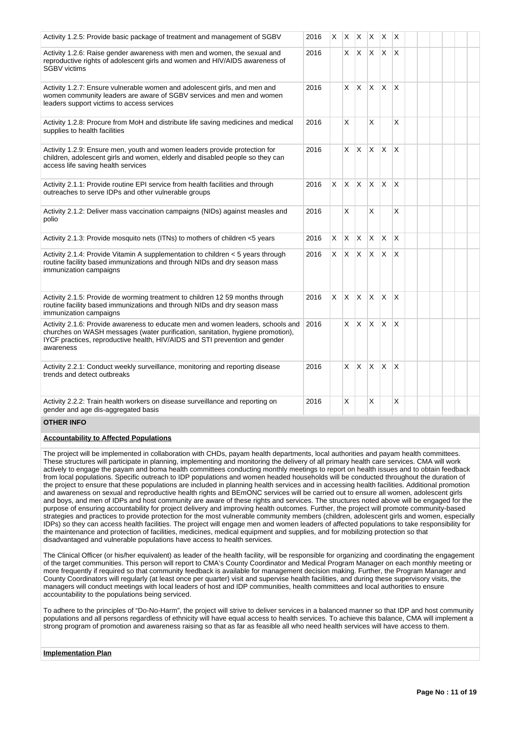| Activity 1.2.5: Provide basic package of treatment and management of SGBV                                                                                                                                                                                     | 2016 | X. |              |              | $X \times X$ |              | $\mathsf{X}$            |  |  |  |
|---------------------------------------------------------------------------------------------------------------------------------------------------------------------------------------------------------------------------------------------------------------|------|----|--------------|--------------|--------------|--------------|-------------------------|--|--|--|
| Activity 1.2.6: Raise gender awareness with men and women, the sexual and<br>reproductive rights of adolescent girls and women and HIV/AIDS awareness of<br><b>SGBV</b> victims                                                                               | 2016 |    |              | X X X        |              | X.           | $\mathsf{I} \mathsf{X}$ |  |  |  |
| Activity 1.2.7: Ensure vulnerable women and adolescent girls, and men and<br>women community leaders are aware of SGBV services and men and women<br>leaders support victims to access services                                                               | 2016 |    | X.           | X.           | $\mathsf{x}$ | <b>X</b>     | X                       |  |  |  |
| Activity 1.2.8: Procure from MoH and distribute life saving medicines and medical<br>supplies to health facilities                                                                                                                                            | 2016 |    | X            |              | X            |              | X                       |  |  |  |
| Activity 1.2.9: Ensure men, youth and women leaders provide protection for<br>children, adolescent girls and women, elderly and disabled people so they can<br>access life saving health services                                                             | 2016 |    | X.           | ΙX.          | $\mathsf{X}$ | <b>X</b>     | X                       |  |  |  |
| Activity 2.1.1: Provide routine EPI service from health facilities and through<br>outreaches to serve IDPs and other vulnerable groups                                                                                                                        | 2016 | X  | ΙX.          | $\mathsf{X}$ | $\mathsf{X}$ | <b>X</b>     | ΙX.                     |  |  |  |
| Activity 2.1.2: Deliver mass vaccination campaigns (NIDs) against measles and<br>polio                                                                                                                                                                        | 2016 |    | X            |              | X            |              | X                       |  |  |  |
| Activity 2.1.3: Provide mosquito nets (ITNs) to mothers of children <5 years                                                                                                                                                                                  | 2016 | X  | X.           | ΙX.          | X.           | $\times$     | ΙX.                     |  |  |  |
| Activity 2.1.4: Provide Vitamin A supplementation to children $\lt$ 5 years through<br>routine facility based immunizations and through NIDs and dry season mass<br>immunization campaigns                                                                    | 2016 | X. |              |              | $X \times X$ | ΙX.          | $\mathsf{I}\mathsf{X}$  |  |  |  |
| Activity 2.1.5: Provide de worming treatment to children 12 59 months through<br>routine facility based immunizations and through NIDs and dry season mass<br>immunization campaigns                                                                          | 2016 | X  | $\mathsf{X}$ | X X          |              | X            | $\overline{\mathsf{x}}$ |  |  |  |
| Activity 2.1.6: Provide awareness to educate men and women leaders, schools and<br>churches on WASH messages (water purification, sanitation, hygiene promotion),<br>IYCF practices, reproductive health, HIV/AIDS and STI prevention and gender<br>awareness | 2016 |    |              | $X$ $X$      | $\mathsf{X}$ | <b>X</b>     | $\mathsf{X}$            |  |  |  |
| Activity 2.2.1: Conduct weekly surveillance, monitoring and reporting disease<br>trends and detect outbreaks                                                                                                                                                  | 2016 |    | X.           | IX.          | $\mathsf{X}$ | <sup>X</sup> | X                       |  |  |  |
| Activity 2.2.2: Train health workers on disease surveillance and reporting on<br>gender and age dis-aggregated basis                                                                                                                                          | 2016 |    | X            |              | X            |              | X                       |  |  |  |

# **OTHER INFO**

# **Accountability to Affected Populations**

The project will be implemented in collaboration with CHDs, payam health departments, local authorities and payam health committees. These structures will participate in planning, implementing and monitoring the delivery of all primary health care services. CMA will work actively to engage the payam and boma health committees conducting monthly meetings to report on health issues and to obtain feedback from local populations. Specific outreach to IDP populations and women headed households will be conducted throughout the duration of the project to ensure that these populations are included in planning health services and in accessing health facilities. Additional promotion and awareness on sexual and reproductive health rights and BEmONC services will be carried out to ensure all women, adolescent girls and boys, and men of IDPs and host community are aware of these rights and services. The structures noted above will be engaged for the purpose of ensuring accountability for project delivery and improving health outcomes. Further, the project will promote community-based strategies and practices to provide protection for the most vulnerable community members (children, adolescent girls and women, especially IDPs) so they can access health facilities. The project will engage men and women leaders of affected populations to take responsibility for the maintenance and protection of facilities, medicines, medical equipment and supplies, and for mobilizing protection so that disadvantaged and vulnerable populations have access to health services.

The Clinical Officer (or his/her equivalent) as leader of the health facility, will be responsible for organizing and coordinating the engagement of the target communities. This person will report to CMA's County Coordinator and Medical Program Manager on each monthly meeting or more frequently if required so that community feedback is available for management decision making. Further, the Program Manager and County Coordinators will regularly (at least once per quarter) visit and supervise health facilities, and during these supervisory visits, the managers will conduct meetings with local leaders of host and IDP communities, health committees and local authorities to ensure accountability to the populations being serviced.

To adhere to the principles of "Do-No-Harm", the project will strive to deliver services in a balanced manner so that IDP and host community populations and all persons regardless of ethnicity will have equal access to health services. To achieve this balance, CMA will implement a strong program of promotion and awareness raising so that as far as feasible all who need health services will have access to them.

# **Implementation Plan**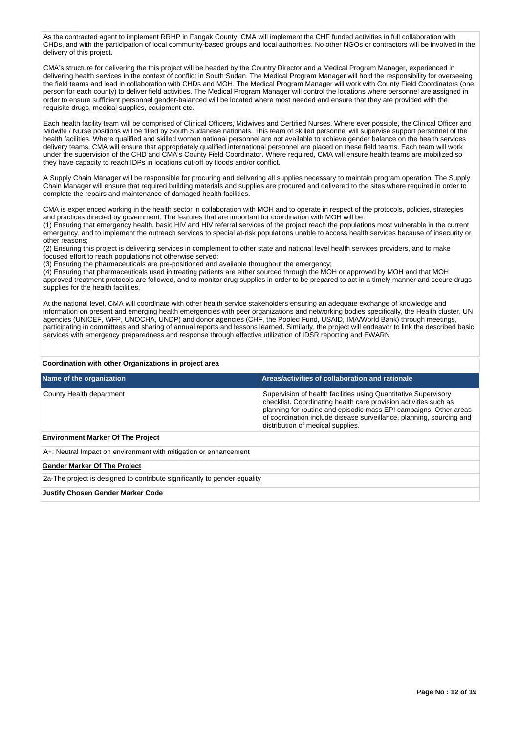As the contracted agent to implement RRHP in Fangak County, CMA will implement the CHF funded activities in full collaboration with CHDs, and with the participation of local community-based groups and local authorities. No other NGOs or contractors will be involved in the delivery of this project.

CMA's structure for delivering the this project will be headed by the Country Director and a Medical Program Manager, experienced in delivering health services in the context of conflict in South Sudan. The Medical Program Manager will hold the responsibility for overseeing the field teams and lead in collaboration with CHDs and MOH. The Medical Program Manager will work with County Field Coordinators (one person for each county) to deliver field activities. The Medical Program Manager will control the locations where personnel are assigned in order to ensure sufficient personnel gender-balanced will be located where most needed and ensure that they are provided with the requisite drugs, medical supplies, equipment etc.

Each health facility team will be comprised of Clinical Officers, Midwives and Certified Nurses. Where ever possible, the Clinical Officer and Midwife / Nurse positions will be filled by South Sudanese nationals. This team of skilled personnel will supervise support personnel of the health facilities. Where qualified and skilled women national personnel are not available to achieve gender balance on the health services delivery teams, CMA will ensure that appropriately qualified international personnel are placed on these field teams. Each team will work under the supervision of the CHD and CMA's County Field Coordinator. Where required, CMA will ensure health teams are mobilized so they have capacity to reach IDPs in locations cut-off by floods and/or conflict.

A Supply Chain Manager will be responsible for procuring and delivering all supplies necessary to maintain program operation. The Supply Chain Manager will ensure that required building materials and supplies are procured and delivered to the sites where required in order to complete the repairs and maintenance of damaged health facilities.

CMA is experienced working in the health sector in collaboration with MOH and to operate in respect of the protocols, policies, strategies and practices directed by government. The features that are important for coordination with MOH will be:

(1) Ensuring that emergency health, basic HIV and HIV referral services of the project reach the populations most vulnerable in the current emergency, and to implement the outreach services to special at-risk populations unable to access health services because of insecurity or other reasons;

(2) Ensuring this project is delivering services in complement to other state and national level health services providers, and to make focused effort to reach populations not otherwise served;

(3) Ensuring the pharmaceuticals are pre-positioned and available throughout the emergency;

(4) Ensuring that pharmaceuticals used in treating patients are either sourced through the MOH or approved by MOH and that MOH approved treatment protocols are followed, and to monitor drug supplies in order to be prepared to act in a timely manner and secure drugs supplies for the health facilities.

At the national level, CMA will coordinate with other health service stakeholders ensuring an adequate exchange of knowledge and information on present and emerging health emergencies with peer organizations and networking bodies specifically, the Health cluster, UN agencies (UNICEF, WFP, UNOCHA, UNDP) and donor agencies (CHF, the Pooled Fund, USAID, IMA/World Bank) through meetings, participating in committees and sharing of annual reports and lessons learned. Similarly, the project will endeavor to link the described basic services with emergency preparedness and response through effective utilization of IDSR reporting and EWARN

# **Coordination with other Organizations in project area**

| Name of the organization                                                  | Areas/activities of collaboration and rationale                                                                                                                                                                                                                                                                       |
|---------------------------------------------------------------------------|-----------------------------------------------------------------------------------------------------------------------------------------------------------------------------------------------------------------------------------------------------------------------------------------------------------------------|
| County Health department                                                  | Supervision of health facilities using Quantitative Supervisory<br>checklist. Coordinating health care provision activities such as<br>planning for routine and episodic mass EPI campaigns. Other areas<br>of coordination include disease surveillance, planning, sourcing and<br>distribution of medical supplies. |
| <b>Environment Marker Of The Project</b>                                  |                                                                                                                                                                                                                                                                                                                       |
| A+: Neutral Impact on environment with mitigation or enhancement          |                                                                                                                                                                                                                                                                                                                       |
| <b>Gender Marker Of The Project</b>                                       |                                                                                                                                                                                                                                                                                                                       |
| 2a-The project is designed to contribute significantly to gender equality |                                                                                                                                                                                                                                                                                                                       |
| <b>Justify Chosen Gender Marker Code</b>                                  |                                                                                                                                                                                                                                                                                                                       |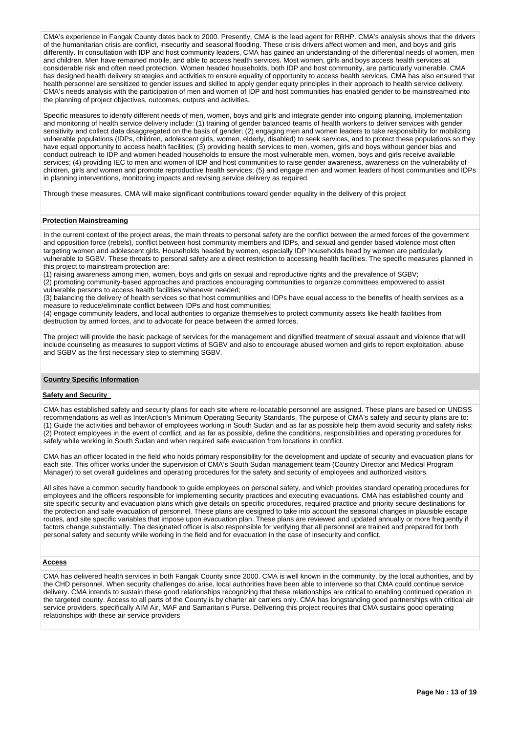CMA's experience in Fangak County dates back to 2000. Presently, CMA is the lead agent for RRHP. CMA's analysis shows that the drivers of the humanitarian crisis are conflict, insecurity and seasonal flooding. These crisis drivers affect women and men, and boys and girls differently. In consultation with IDP and host community leaders, CMA has gained an understanding of the differential needs of women, men and children. Men have remained mobile, and able to access health services. Most women, girls and boys access health services at considerable risk and often need protection. Women headed households, both IDP and host community, are particularly vulnerable. CMA has designed health delivery strategies and activities to ensure equality of opportunity to access health services. CMA has also ensured that health personnel are sensitized to gender issues and skilled to apply gender equity principles in their approach to health service delivery. CMA's needs analysis with the participation of men and women of IDP and host communities has enabled gender to be mainstreamed into the planning of project objectives, outcomes, outputs and activities.

Specific measures to identify different needs of men, women, boys and girls and integrate gender into ongoing planning, implementation and monitoring of health service delivery include: (1) training of gender balanced teams of health workers to deliver services with gender sensitivity and collect data disaggregated on the basis of gender; (2) engaging men and women leaders to take responsibility for mobilizing vulnerable populations (IDPs, children, adolescent girls, women, elderly, disabled) to seek services, and to protect these populations so they have equal opportunity to access health facilities; (3) providing health services to men, women, girls and boys without gender bias and conduct outreach to IDP and women headed households to ensure the most vulnerable men, women, boys and girls receive available services; (4) providing IEC to men and women of IDP and host communities to raise gender awareness, awareness on the vulnerability of children, girls and women and promote reproductive health services; (5) and engage men and women leaders of host communities and IDPs in planning interventions, monitoring impacts and revising service delivery as required.

Through these measures, CMA will make significant contributions toward gender equality in the delivery of this project

## **Protection Mainstreaming**

In the current context of the project areas, the main threats to personal safety are the conflict between the armed forces of the government and opposition force (rebels), conflict between host community members and IDPs, and sexual and gender based violence most often targeting women and adolescent girls. Households headed by women, especially IDP households head by women are particularly vulnerable to SGBV. These threats to personal safety are a direct restriction to accessing health facilities. The specific measures planned in this project to mainstream protection are:

(1) raising awareness among men, women, boys and girls on sexual and reproductive rights and the prevalence of SGBV;

(2) promoting community-based approaches and practices encouraging communities to organize committees empowered to assist vulnerable persons to access health facilities whenever needed;

(3) balancing the delivery of health services so that host communities and IDPs have equal access to the benefits of health services as a measure to reduce/eliminate conflict between IDPs and host communities;

(4) engage community leaders, and local authorities to organize themselves to protect community assets like health facilities from destruction by armed forces, and to advocate for peace between the armed forces.

The project will provide the basic package of services for the management and dignified treatment of sexual assault and violence that will include counseling as measures to support victims of SGBV and also to encourage abused women and girls to report exploitation, abuse and SGBV as the first necessary step to stemming SGBV.

#### **Country Specific Information**

### **Safety and Security**

CMA has established safety and security plans for each site where re-locatable personnel are assigned. These plans are based on UNDSS recommendations as well as InterAction's Minimum Operating Security Standards. The purpose of CMA's safety and security plans are to: (1) Guide the activities and behavior of employees working in South Sudan and as far as possible help them avoid security and safety risks; (2) Protect employees in the event of conflict, and as far as possible, define the conditions, responsibilities and operating procedures for safely while working in South Sudan and when required safe evacuation from locations in conflict.

CMA has an officer located in the field who holds primary responsibility for the development and update of security and evacuation plans for each site. This officer works under the supervision of CMA's South Sudan management team (Country Director and Medical Program Manager) to set overall guidelines and operating procedures for the safety and security of employees and authorized visitors.

All sites have a common security handbook to guide employees on personal safety, and which provides standard operating procedures for employees and the officers responsible for implementing security practices and executing evacuations. CMA has established county and site specific security and evacuation plans which give details on specific procedures, required practice and priority secure destinations for the protection and safe evacuation of personnel. These plans are designed to take into account the seasonal changes in plausible escape routes, and site specific variables that impose upon evacuation plan. These plans are reviewed and updated annually or more frequently if factors change substantially. The designated officer is also responsible for verifying that all personnel are trained and prepared for both personal safety and security while working in the field and for evacuation in the case of insecurity and conflict.

### **Access**

CMA has delivered health services in both Fangak County since 2000. CMA is well known in the community, by the local authorities, and by the CHD personnel. When security challenges do arise, local authorities have been able to intervene so that CMA could continue service delivery. CMA intends to sustain these good relationships recognizing that these relationships are critical to enabling continued operation in the targeted county. Access to all parts of the County is by charter air carriers only. CMA has longstanding good partnerships with critical air service providers, specifically AIM Air, MAF and Samaritan's Purse. Delivering this project requires that CMA sustains good operating relationships with these air service providers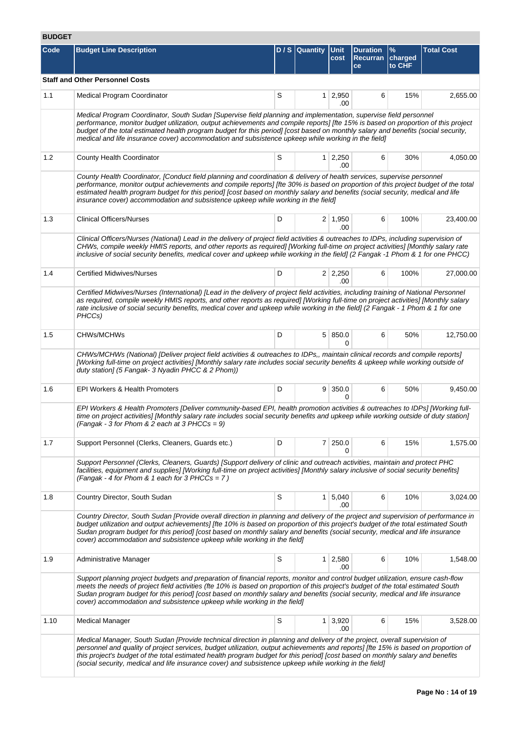# **BUDGET**

| Code | <b>Budget Line Description</b>                                                                                                                                                                                                                                                                                                                                                                                                                                                                              |   | D / S   Quantity   Unit | cost                   | <b>Duration</b><br><b>Recurran</b><br>ce | %<br>charged<br>to CHF | <b>Total Cost</b> |
|------|-------------------------------------------------------------------------------------------------------------------------------------------------------------------------------------------------------------------------------------------------------------------------------------------------------------------------------------------------------------------------------------------------------------------------------------------------------------------------------------------------------------|---|-------------------------|------------------------|------------------------------------------|------------------------|-------------------|
|      | <b>Staff and Other Personnel Costs</b>                                                                                                                                                                                                                                                                                                                                                                                                                                                                      |   |                         |                        |                                          |                        |                   |
| 1.1  | <b>Medical Program Coordinator</b>                                                                                                                                                                                                                                                                                                                                                                                                                                                                          | S |                         | $1 \ 2,950$<br>.00     | 6                                        | 15%                    | 2,655.00          |
|      | Medical Program Coordinator, South Sudan [Supervise field planning and implementation, supervise field personnel<br>performance, monitor budget utilization, output achievements and compile reports] [fte 15% is based on proportion of this project<br>budget of the total estimated health program budget for this period] [cost based on monthly salary and benefits (social security,<br>medical and life insurance cover) accommodation and subsistence upkeep while working in the field]            |   |                         |                        |                                          |                        |                   |
| 1.2  | County Health Coordinator                                                                                                                                                                                                                                                                                                                                                                                                                                                                                   | S |                         | $1 \quad 2,250$<br>.00 | 6                                        | 30%                    | 4,050.00          |
|      | County Health Coordinator, [Conduct field planning and coordination & delivery of health services, supervise personnel<br>performance, monitor output achievements and compile reports] [fte 30% is based on proportion of this project budget of the total<br>estimated health program budget for this period] [cost based on monthly salary and benefits (social security, medical and life<br>insurance cover) accommodation and subsistence upkeep while working in the field]                          |   |                         |                        |                                          |                        |                   |
| 1.3  | <b>Clinical Officers/Nurses</b>                                                                                                                                                                                                                                                                                                                                                                                                                                                                             | D |                         | $2 \mid 1,950$<br>.00  | 6                                        | 100%                   | 23,400.00         |
|      | Clinical Officers/Nurses (National) Lead in the delivery of project field activities & outreaches to IDPs, including supervision of<br>CHWs, compile weekly HMIS reports, and other reports as required] [Working full-time on project activities] [Monthly salary rate<br>inclusive of social security benefits, medical cover and upkeep while working in the field] (2 Fangak -1 Phom & 1 for one PHCC)                                                                                                  |   |                         |                        |                                          |                        |                   |
| 1.4  | <b>Certified Midwives/Nurses</b>                                                                                                                                                                                                                                                                                                                                                                                                                                                                            | D |                         | $2 \mid 2,250$<br>.00  | 6                                        | 100%                   | 27,000.00         |
|      | Certified Midwives/Nurses (International) [Lead in the delivery of project field activities, including training of National Personnel<br>as required, compile weekly HMIS reports, and other reports as required] [Working full-time on project activities] [Monthly salary<br>rate inclusive of social security benefits, medical cover and upkeep while working in the field] (2 Fangak - 1 Phom & 1 for one<br>PHCCs)                                                                                    |   |                         |                        |                                          |                        |                   |
| 1.5  | <b>CHWs/MCHWs</b>                                                                                                                                                                                                                                                                                                                                                                                                                                                                                           | D |                         | 5   850.0<br>0         | 6                                        | 50%                    | 12,750.00         |
|      | CHWs/MCHWs (National) [Deliver project field activities & outreaches to IDPs,, maintain clinical records and compile reports]<br>[Working full-time on project activities] [Monthly salary rate includes social security benefits & upkeep while working outside of<br>duty station] (5 Fangak- 3 Nyadin PHCC & 2 Phom))                                                                                                                                                                                    |   |                         |                        |                                          |                        |                   |
| 1.6  | EPI Workers & Health Promoters                                                                                                                                                                                                                                                                                                                                                                                                                                                                              | D |                         | 9   350.0<br>0         | 6                                        | 50%                    | 9,450.00          |
|      | EPI Workers & Health Promoters [Deliver community-based EPI, health promotion activities & outreaches to IDPs] [Working full-<br>time on project activities] [Monthly salary rate includes social security benefits and upkeep while working outside of duty station]<br>(Fangak - 3 for Phom & 2 each at 3 PHCCs = 9)                                                                                                                                                                                      |   |                         |                        |                                          |                        |                   |
| 1.7  | Support Personnel (Clerks, Cleaners, Guards etc.)                                                                                                                                                                                                                                                                                                                                                                                                                                                           | D |                         | $7 \mid 250.0$<br>0    | 6                                        | 15%                    | 1,575.00          |
|      | Support Personnel (Clerks, Cleaners, Guards) [Support delivery of clinic and outreach activities, maintain and protect PHC<br>facilities, equipment and supplies] [Working full-time on project activities] [Monthly salary inclusive of social security benefits]<br>(Fangak - 4 for Phom & 1 each for 3 PHCCs = $7$ )                                                                                                                                                                                     |   |                         |                        |                                          |                        |                   |
| 1.8  | Country Director, South Sudan                                                                                                                                                                                                                                                                                                                                                                                                                                                                               | S |                         | $1 \mid 5,040$<br>.00  | 6                                        | 10%                    | 3,024.00          |
|      | Country Director, South Sudan [Provide overall direction in planning and delivery of the project and supervision of performance in<br>budget utilization and output achievements] [fte 10% is based on proportion of this project's budget of the total estimated South<br>Sudan program budget for this period] [cost based on monthly salary and benefits (social security, medical and life insurance<br>cover) accommodation and subsistence upkeep while working in the field]                         |   |                         |                        |                                          |                        |                   |
| 1.9  | Administrative Manager                                                                                                                                                                                                                                                                                                                                                                                                                                                                                      | S | 1 <sup>1</sup>          | 2,580<br>.00           | 6                                        | 10%                    | 1,548.00          |
|      | Support planning project budgets and preparation of financial reports, monitor and control budget utilization, ensure cash-flow<br>meets the needs of project field activities (fte 10% is based on proportion of this project's budget of the total estimated South<br>Sudan program budget for this period] [cost based on monthly salary and benefits (social security, medical and life insurance<br>cover) accommodation and subsistence upkeep while working in the field]                            |   |                         |                        |                                          |                        |                   |
| 1.10 | <b>Medical Manager</b>                                                                                                                                                                                                                                                                                                                                                                                                                                                                                      | S |                         | $1 \mid 3,920$<br>.00  | 6                                        | 15%                    | 3,528.00          |
|      | Medical Manager, South Sudan [Provide technical direction in planning and delivery of the project, overall supervision of<br>personnel and quality of project services, budget utilization, output achievements and reports] [fte 15% is based on proportion of<br>this project's budget of the total estimated health program budget for this period] [cost based on monthly salary and benefits<br>(social security, medical and life insurance cover) and subsistence upkeep while working in the field] |   |                         |                        |                                          |                        |                   |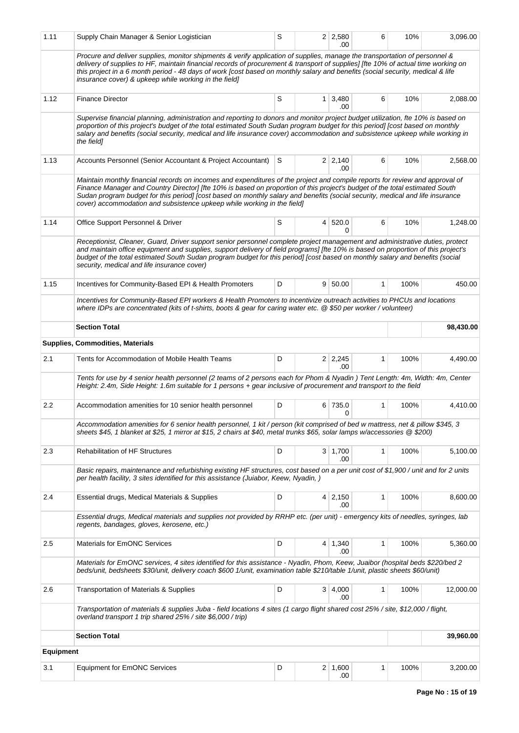| 1.11             | Supply Chain Manager & Senior Logistician                                                                                                                                                                                                                                                                                                                                                                                                                               | S |              | $2 \mid 2,580$<br>.00 | 6            | 10%  | 3,096.00  |  |
|------------------|-------------------------------------------------------------------------------------------------------------------------------------------------------------------------------------------------------------------------------------------------------------------------------------------------------------------------------------------------------------------------------------------------------------------------------------------------------------------------|---|--------------|-----------------------|--------------|------|-----------|--|
|                  | Procure and deliver supplies, monitor shipments & verify application of supplies, manage the transportation of personnel &<br>delivery of supplies to HF, maintain financial records of procurement & transport of supplies] [fte 10% of actual time working on<br>this project in a 6 month period - 48 days of work [cost based on monthly salary and benefits (social security, medical & life<br>insurance cover) & upkeep while working in the field]              |   |              |                       |              |      |           |  |
| 1.12             | <b>Finance Director</b>                                                                                                                                                                                                                                                                                                                                                                                                                                                 | S | $\mathbf{1}$ | 3,480<br>.00          | 6            | 10%  | 2,088.00  |  |
|                  | Supervise financial planning, administration and reporting to donors and monitor project budget utilization, fte 10% is based on<br>proportion of this project's budget of the total estimated South Sudan program budget for this period] [cost based on monthly<br>salary and benefits (social security, medical and life insurance cover) accommodation and subsistence upkeep while working in<br>the field1                                                        |   |              |                       |              |      |           |  |
| 1.13             | Accounts Personnel (Senior Accountant & Project Accountant) S                                                                                                                                                                                                                                                                                                                                                                                                           |   |              | $2 \mid 2,140$<br>.00 | 6            | 10%  | 2,568.00  |  |
|                  | Maintain monthly financial records on incomes and expenditures of the project and compile reports for review and approval of<br>Finance Manager and Country Director] [fte 10% is based on proportion of this project's budget of the total estimated South<br>Sudan program budget for this period] [cost based on monthly salary and benefits (social security, medical and life insurance<br>cover) accommodation and subsistence upkeep while working in the field] |   |              |                       |              |      |           |  |
| 1.14             | Office Support Personnel & Driver                                                                                                                                                                                                                                                                                                                                                                                                                                       | S | 4            | 520.0<br>0            | 6            | 10%  | 1,248.00  |  |
|                  | Receptionist, Cleaner, Guard, Driver support senior personnel complete project management and administrative duties, protect<br>and maintain office equipment and supplies, support delivery of field programs] [fte 10% is based on proportion of this project's<br>budget of the total estimated South Sudan program budget for this period] [cost based on monthly salary and benefits (social<br>security, medical and life insurance cover)                        |   |              |                       |              |      |           |  |
| 1.15             | Incentives for Community-Based EPI & Health Promoters                                                                                                                                                                                                                                                                                                                                                                                                                   | D |              | $9 \mid 50.00$        | $\mathbf{1}$ | 100% | 450.00    |  |
|                  | Incentives for Community-Based EPI workers & Health Promoters to incentivize outreach activities to PHCUs and locations<br>where IDPs are concentrated (kits of t-shirts, boots & gear for caring water etc. @ \$50 per worker / volunteer)                                                                                                                                                                                                                             |   |              |                       |              |      |           |  |
|                  | <b>Section Total</b>                                                                                                                                                                                                                                                                                                                                                                                                                                                    |   |              |                       |              |      | 98,430.00 |  |
|                  | <b>Supplies, Commodities, Materials</b>                                                                                                                                                                                                                                                                                                                                                                                                                                 |   |              |                       |              |      |           |  |
| 2.1              | Tents for Accommodation of Mobile Health Teams                                                                                                                                                                                                                                                                                                                                                                                                                          | D |              | $2 \mid 2,245$<br>.00 | $\mathbf{1}$ | 100% | 4,490.00  |  |
|                  | Tents for use by 4 senior health personnel (2 teams of 2 persons each for Phom & Nyadin) Tent Length: 4m, Width: 4m, Center<br>Height: 2.4m, Side Height: 1.6m suitable for 1 persons + gear inclusive of procurement and transport to the field                                                                                                                                                                                                                        |   |              |                       |              |      |           |  |
| 2.2              | Accommodation amenities for 10 senior health personnel                                                                                                                                                                                                                                                                                                                                                                                                                  | D |              | 6 735.0<br>0          | 1            | 100% | 4,410.00  |  |
|                  | Accommodation amenities for 6 senior health personnel, 1 kit / person (kit comprised of bed w mattress, net & pillow \$345, 3<br>sheets \$45, 1 blanket at \$25, 1 mirror at \$15, 2 chairs at \$40, metal trunks \$65, solar lamps w/accessories @ \$200)                                                                                                                                                                                                              |   |              |                       |              |      |           |  |
| 2.3              | <b>Rehabilitation of HF Structures</b>                                                                                                                                                                                                                                                                                                                                                                                                                                  | D |              | $3 \mid 1,700$<br>.00 | 1            | 100% | 5,100.00  |  |
|                  | Basic repairs, maintenance and refurbishing existing HF structures, cost based on a per unit cost of \$1,900 / unit and for 2 units<br>per health facility, 3 sites identified for this assistance (Juiabor, Keew, Nyadin, )                                                                                                                                                                                                                                            |   |              |                       |              |      |           |  |
| 2.4              | Essential drugs, Medical Materials & Supplies                                                                                                                                                                                                                                                                                                                                                                                                                           | D |              | $4 \mid 2,150$<br>.00 | 1            | 100% | 8,600.00  |  |
|                  | Essential drugs, Medical materials and supplies not provided by RRHP etc. (per unit) - emergency kits of needles, syringes, lab<br>regents, bandages, gloves, kerosene, etc.)                                                                                                                                                                                                                                                                                           |   |              |                       |              |      |           |  |
| 2.5              | <b>Materials for EmONC Services</b>                                                                                                                                                                                                                                                                                                                                                                                                                                     | D |              | $4 \mid 1,340$<br>.00 | 1            | 100% | 5,360.00  |  |
|                  | Materials for EmONC services, 4 sites identified for this assistance - Nyadin, Phom, Keew, Juaibor (hospital beds \$220/bed 2<br>beds/unit, bedsheets \$30/unit, delivery coach \$600 1/unit, examination table \$210/table 1/unit, plastic sheets \$60/unit)                                                                                                                                                                                                           |   |              |                       |              |      |           |  |
| 2.6              | Transportation of Materials & Supplies                                                                                                                                                                                                                                                                                                                                                                                                                                  | D |              | 3   4,000<br>.00      | 1            | 100% | 12,000.00 |  |
|                  | Transportation of materials & supplies Juba - field locations 4 sites (1 cargo flight shared cost 25% / site, \$12,000 / flight,<br>overland transport 1 trip shared 25% / site \$6,000 / trip)                                                                                                                                                                                                                                                                         |   |              |                       |              |      |           |  |
|                  | <b>Section Total</b>                                                                                                                                                                                                                                                                                                                                                                                                                                                    |   |              |                       |              |      | 39,960.00 |  |
| <b>Equipment</b> |                                                                                                                                                                                                                                                                                                                                                                                                                                                                         |   |              |                       |              |      |           |  |
| 3.1              | Equipment for EmONC Services                                                                                                                                                                                                                                                                                                                                                                                                                                            | D |              | $2 \mid 1,600$<br>.00 | 1            | 100% | 3,200.00  |  |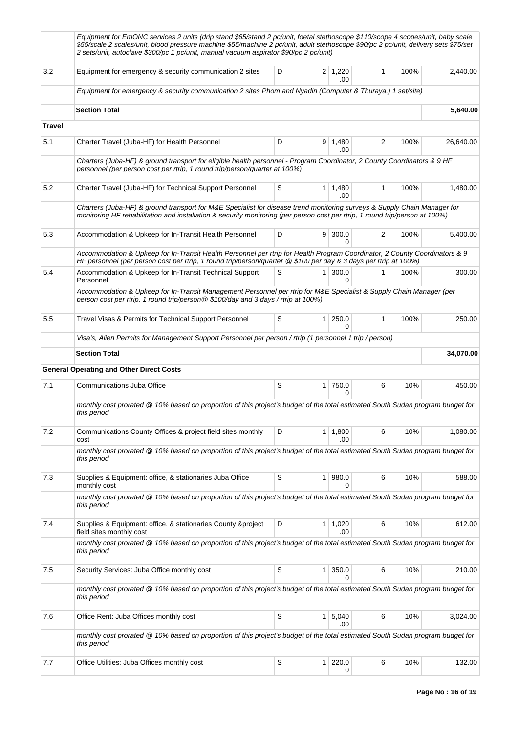|               | Equipment for EmONC services 2 units (drip stand \$65/stand 2 pc/unit, foetal stethoscope \$110/scope 4 scopes/unit, baby scale<br>\$55/scale 2 scales/unit, blood pressure machine \$55/machine 2 pc/unit, adult stethoscope \$90/pc 2 pc/unit, delivery sets \$75/set<br>2 sets/unit, autoclave \$300/pc 1 pc/unit, manual vacuum aspirator \$90/pc 2 pc/unit) |   |                |                       |              |      |           |  |  |
|---------------|------------------------------------------------------------------------------------------------------------------------------------------------------------------------------------------------------------------------------------------------------------------------------------------------------------------------------------------------------------------|---|----------------|-----------------------|--------------|------|-----------|--|--|
| 3.2           | Equipment for emergency & security communication 2 sites                                                                                                                                                                                                                                                                                                         | D |                | $2 \mid 1,220$<br>.00 | $\mathbf{1}$ | 100% | 2,440.00  |  |  |
|               | Equipment for emergency & security communication 2 sites Phom and Nyadin (Computer & Thuraya,) 1 set/site)                                                                                                                                                                                                                                                       |   |                |                       |              |      |           |  |  |
|               | <b>Section Total</b>                                                                                                                                                                                                                                                                                                                                             |   |                |                       |              |      | 5,640.00  |  |  |
| <b>Travel</b> |                                                                                                                                                                                                                                                                                                                                                                  |   |                |                       |              |      |           |  |  |
| 5.1           | Charter Travel (Juba-HF) for Health Personnel                                                                                                                                                                                                                                                                                                                    | D |                | $9 \mid 1,480$<br>.00 | 2            | 100% | 26,640.00 |  |  |
|               | Charters (Juba-HF) & ground transport for eligible health personnel - Program Coordinator, 2 County Coordinators & 9 HF<br>personnel (per person cost per rtrip, 1 round trip/person/quarter at 100%)                                                                                                                                                            |   |                |                       |              |      |           |  |  |
| 5.2           | Charter Travel (Juba-HF) for Technical Support Personnel                                                                                                                                                                                                                                                                                                         | S |                | $1 \mid 1,480$<br>.00 | 1            | 100% | 1,480.00  |  |  |
|               | Charters (Juba-HF) & ground transport for M&E Specialist for disease trend monitoring surveys & Supply Chain Manager for<br>monitoring HF rehabilitation and installation & security monitoring (per person cost per rtrip, 1 round trip/person at 100%)                                                                                                         |   |                |                       |              |      |           |  |  |
| 5.3           | Accommodation & Upkeep for In-Transit Health Personnel                                                                                                                                                                                                                                                                                                           | D |                | 9   300.0<br>0        | 2            | 100% | 5,400.00  |  |  |
|               | Accommodation & Upkeep for In-Transit Health Personnel per rtrip for Health Program Coordinator, 2 County Coordinators & 9<br>HF personnel (per person cost per rtrip, 1 round trip/person/quarter @ \$100 per day & 3 days per rtrip at 100%)                                                                                                                   |   |                |                       |              |      |           |  |  |
| 5.4           | Accommodation & Upkeep for In-Transit Technical Support<br>Personnel                                                                                                                                                                                                                                                                                             | S | 1              | 300.0<br>0            | 1            | 100% | 300.00    |  |  |
|               | Accommodation & Upkeep for In-Transit Management Personnel per rtrip for M&E Specialist & Supply Chain Manager (per<br>person cost per rtrip, 1 round trip/person @ \$100/day and 3 days / rtrip at 100%)                                                                                                                                                        |   |                |                       |              |      |           |  |  |
| 5.5           | Travel Visas & Permits for Technical Support Personnel                                                                                                                                                                                                                                                                                                           | S | $\mathbf{1}$   | 250.0<br>0            | $\mathbf{1}$ | 100% | 250.00    |  |  |
|               | Visa's, Alien Permits for Management Support Personnel per person / rtrip (1 personnel 1 trip / person)                                                                                                                                                                                                                                                          |   |                |                       |              |      |           |  |  |
|               | <b>Section Total</b>                                                                                                                                                                                                                                                                                                                                             |   |                |                       |              |      | 34,070.00 |  |  |
|               | <b>General Operating and Other Direct Costs</b>                                                                                                                                                                                                                                                                                                                  |   |                |                       |              |      |           |  |  |
| 7.1           | Communications Juba Office                                                                                                                                                                                                                                                                                                                                       | S | 1 <sup>1</sup> | 750.0<br>U            | 6            | 10%  | 450.00    |  |  |
|               | monthly cost prorated @ 10% based on proportion of this project's budget of the total estimated South Sudan program budget for<br>this period                                                                                                                                                                                                                    |   |                |                       |              |      |           |  |  |
| 7.2           | Communications County Offices & project field sites monthly<br>cost                                                                                                                                                                                                                                                                                              | D | 1              | 1,800<br>.00          | 6            | 10%  | 1,080.00  |  |  |
|               | monthly cost prorated @ 10% based on proportion of this project's budget of the total estimated South Sudan program budget for<br>this period                                                                                                                                                                                                                    |   |                |                       |              |      |           |  |  |
| 7.3           | Supplies & Equipment: office, & stationaries Juba Office<br>monthly cost                                                                                                                                                                                                                                                                                         | S | 1              | 980.0<br>0            | 6            | 10%  | 588.00    |  |  |
|               | monthly cost prorated @ 10% based on proportion of this project's budget of the total estimated South Sudan program budget for<br>this period                                                                                                                                                                                                                    |   |                |                       |              |      |           |  |  |
| 7.4           | Supplies & Equipment: office, & stationaries County & project<br>field sites monthly cost                                                                                                                                                                                                                                                                        | D |                | $1 \mid 1,020$<br>.00 | 6            | 10%  | 612.00    |  |  |
|               | monthly cost prorated @ 10% based on proportion of this project's budget of the total estimated South Sudan program budget for<br>this period                                                                                                                                                                                                                    |   |                |                       |              |      |           |  |  |
| 7.5           | Security Services: Juba Office monthly cost                                                                                                                                                                                                                                                                                                                      | S | 1              | 350.0<br>0            | 6            | 10%  | 210.00    |  |  |
|               | monthly cost prorated @ 10% based on proportion of this project's budget of the total estimated South Sudan program budget for<br>this period                                                                                                                                                                                                                    |   |                |                       |              |      |           |  |  |
| 7.6           | Office Rent: Juba Offices monthly cost                                                                                                                                                                                                                                                                                                                           | S | $\mathbf{1}$   | 5,040<br>.00          | 6            | 10%  | 3,024.00  |  |  |
|               | monthly cost prorated @ 10% based on proportion of this project's budget of the total estimated South Sudan program budget for<br>this period                                                                                                                                                                                                                    |   |                |                       |              |      |           |  |  |
| 7.7           | Office Utilities: Juba Offices monthly cost                                                                                                                                                                                                                                                                                                                      | S | 1 <sup>1</sup> | 220.0<br>0            | 6            | 10%  | 132.00    |  |  |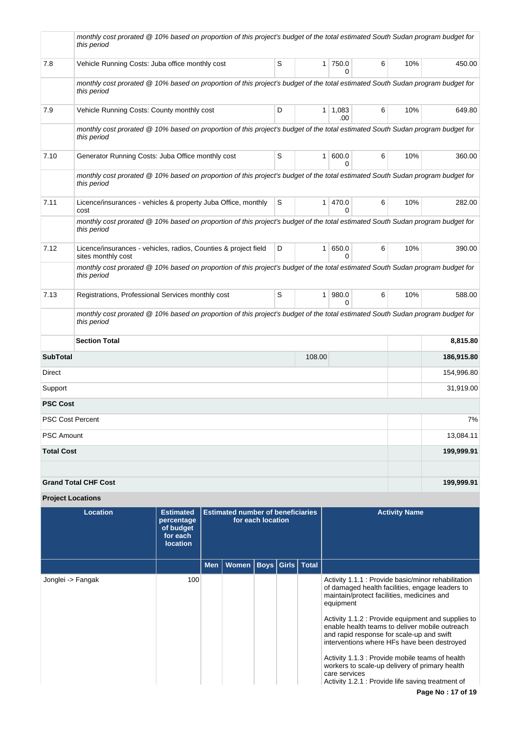|                         | monthly cost prorated @ 10% based on proportion of this project's budget of the total estimated South Sudan program budget for<br>this period |   |                |                       |   |     |            |
|-------------------------|-----------------------------------------------------------------------------------------------------------------------------------------------|---|----------------|-----------------------|---|-----|------------|
| 7.8                     | Vehicle Running Costs: Juba office monthly cost                                                                                               | S |                | $1$ 750.0<br>$\Omega$ | 6 | 10% | 450.00     |
|                         | monthly cost prorated @ 10% based on proportion of this project's budget of the total estimated South Sudan program budget for<br>this period |   |                |                       |   |     |            |
| 7.9                     | Vehicle Running Costs: County monthly cost                                                                                                    | D |                | $1 \mid 1,083$<br>.00 | 6 | 10% | 649.80     |
|                         | monthly cost prorated @ 10% based on proportion of this project's budget of the total estimated South Sudan program budget for<br>this period |   |                |                       |   |     |            |
| 7.10                    | Generator Running Costs: Juba Office monthly cost                                                                                             | S | 1 <sup>1</sup> | 600.0<br>$\Omega$     | 6 | 10% | 360.00     |
|                         | monthly cost prorated @ 10% based on proportion of this project's budget of the total estimated South Sudan program budget for<br>this period |   |                |                       |   |     |            |
| 7.11                    | Licence/insurances - vehicles & property Juba Office, monthly<br>cost                                                                         | S |                | 1   470.0<br>0        | 6 | 10% | 282.00     |
|                         | monthly cost prorated @ 10% based on proportion of this project's budget of the total estimated South Sudan program budget for<br>this period |   |                |                       |   |     |            |
| 7.12                    | Licence/insurances - vehicles, radios, Counties & project field<br>sites monthly cost                                                         | D | 1 <sup>1</sup> | 650.0<br>$\Omega$     | 6 | 10% | 390.00     |
|                         | monthly cost prorated @ 10% based on proportion of this project's budget of the total estimated South Sudan program budget for<br>this period |   |                |                       |   |     |            |
| 7.13                    | Registrations, Professional Services monthly cost                                                                                             | S |                | 1   980.0<br>$\Omega$ | 6 | 10% | 588.00     |
|                         | monthly cost prorated @ 10% based on proportion of this project's budget of the total estimated South Sudan program budget for<br>this period |   |                |                       |   |     |            |
|                         | <b>Section Total</b>                                                                                                                          |   |                |                       |   |     | 8,815.80   |
| <b>SubTotal</b>         |                                                                                                                                               |   | 108.00         |                       |   |     | 186,915.80 |
| Direct                  |                                                                                                                                               |   |                |                       |   |     | 154,996.80 |
| Support                 |                                                                                                                                               |   |                |                       |   |     |            |
| <b>PSC Cost</b>         |                                                                                                                                               |   |                |                       |   |     |            |
| <b>PSC Cost Percent</b> |                                                                                                                                               |   |                |                       |   |     | 7%         |
| <b>PSC Amount</b>       |                                                                                                                                               |   |                |                       |   |     | 13,084.11  |
| <b>Total Cost</b>       |                                                                                                                                               |   |                |                       |   |     | 199,999.91 |
|                         | <b>Grand Total CHF Cost</b>                                                                                                                   |   |                |                       |   |     | 199,999.91 |
|                         |                                                                                                                                               |   |                |                       |   |     |            |

# **Project Locations**

| Location          | <b>Estimated</b><br>percentage<br>of budget<br>for each<br><b>location</b> | <b>Estimated number of beneficiaries</b><br>for each location |                              |  |  | <b>Activity Name</b>                                                                                                                                                                                                                                                                                                                                                                                                                                                                                                                             |
|-------------------|----------------------------------------------------------------------------|---------------------------------------------------------------|------------------------------|--|--|--------------------------------------------------------------------------------------------------------------------------------------------------------------------------------------------------------------------------------------------------------------------------------------------------------------------------------------------------------------------------------------------------------------------------------------------------------------------------------------------------------------------------------------------------|
|                   |                                                                            | <b>Men</b>                                                    | Women   Boys   Girls   Total |  |  |                                                                                                                                                                                                                                                                                                                                                                                                                                                                                                                                                  |
| Jonglei -> Fangak | 100                                                                        |                                                               |                              |  |  | Activity 1.1.1 : Provide basic/minor rehabilitation<br>of damaged health facilities, engage leaders to<br>maintain/protect facilities, medicines and<br>equipment<br>Activity 1.1.2 : Provide equipment and supplies to<br>enable health teams to deliver mobile outreach<br>and rapid response for scale-up and swift<br>interventions where HFs have been destroyed<br>Activity 1.1.3 : Provide mobile teams of health<br>workers to scale-up delivery of primary health<br>care services<br>Activity 1.2.1 : Provide life saving treatment of |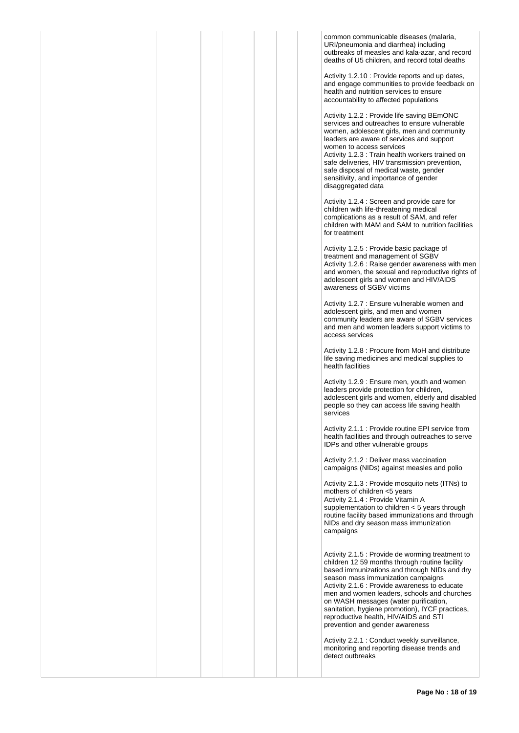common communicable diseases (malaria, URI/pneumonia and diarrhea) including outbreaks of measles and kala-azar, and record deaths of U5 children, and record total deaths

Activity 1.2.10 : Provide reports and up dates, and engage communities to provide feedback on health and nutrition services to ensure accountability to affected populations

Activity 1.2.2 : Provide life saving BEmONC services and outreaches to ensure vulnerable women, adolescent girls, men and community leaders are aware of services and support women to access services Activity 1.2.3 : Train health workers trained on safe deliveries, HIV transmission prevention, safe disposal of medical waste, gender sensitivity, and importance of gender disaggregated data

Activity 1.2.4 : Screen and provide care for children with life-threatening medical complications as a result of SAM, and refer children with MAM and SAM to nutrition facilities for treatment

Activity 1.2.5 : Provide basic package of treatment and management of SGBV Activity 1.2.6 : Raise gender awareness with men and women, the sexual and reproductive rights of adolescent girls and women and HIV/AIDS awareness of SGBV victims

Activity 1.2.7 : Ensure vulnerable women and adolescent girls, and men and women community leaders are aware of SGBV services and men and women leaders support victims to access services

Activity 1.2.8 : Procure from MoH and distribute life saving medicines and medical supplies to health facilities

Activity 1.2.9 : Ensure men, youth and women leaders provide protection for children, adolescent girls and women, elderly and disabled people so they can access life saving health services

Activity 2.1.1 : Provide routine EPI service from health facilities and through outreaches to serve IDPs and other vulnerable groups

Activity 2.1.2 : Deliver mass vaccination campaigns (NIDs) against measles and polio

Activity 2.1.3 : Provide mosquito nets (ITNs) to mothers of children <5 years Activity 2.1.4 : Provide Vitamin A supplementation to children < 5 years through routine facility based immunizations and through NIDs and dry season mass immunization campaigns

Activity 2.1.5 : Provide de worming treatment to children 12 59 months through routine facility based immunizations and through NIDs and dry season mass immunization campaigns Activity 2.1.6 : Provide awareness to educate men and women leaders, schools and churches on WASH messages (water purification, sanitation, hygiene promotion), IYCF practices, reproductive health, HIV/AIDS and STI prevention and gender awareness

Activity 2.2.1 : Conduct weekly surveillance, monitoring and reporting disease trends and detect outbreaks